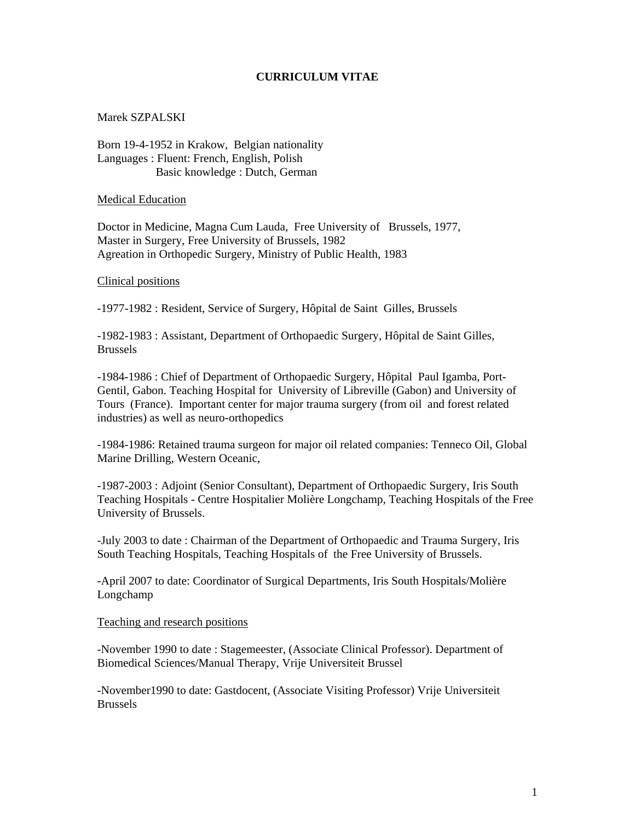# **CURRICULUM VITAE**

Marek SZPALSKI

Born 19-4-1952 in Krakow, Belgian nationality Languages : Fluent: French, English, Polish Basic knowledge : Dutch, German

Medical Education

Doctor in Medicine, Magna Cum Lauda, Free University of Brussels, 1977, Master in Surgery, Free University of Brussels, 1982 Agreation in Orthopedic Surgery, Ministry of Public Health, 1983

Clinical positions

-1977-1982 : Resident, Service of Surgery, Hôpital de Saint Gilles, Brussels

-1982-1983 : Assistant, Department of Orthopaedic Surgery, Hôpital de Saint Gilles, Brussels

-1984-1986 : Chief of Department of Orthopaedic Surgery, Hôpital Paul Igamba, Port-Gentil, Gabon. Teaching Hospital for University of Libreville (Gabon) and University of Tours (France). Important center for major trauma surgery (from oil and forest related industries) as well as neuro-orthopedics

-1984-1986: Retained trauma surgeon for major oil related companies: Tenneco Oil, Global Marine Drilling, Western Oceanic,

-1987-2003 : Adjoint (Senior Consultant), Department of Orthopaedic Surgery, Iris South Teaching Hospitals - Centre Hospitalier Molière Longchamp, Teaching Hospitals of the Free University of Brussels.

-July 2003 to date : Chairman of the Department of Orthopaedic and Trauma Surgery, Iris South Teaching Hospitals, Teaching Hospitals of the Free University of Brussels.

-April 2007 to date: Coordinator of Surgical Departments, Iris South Hospitals/Molière Longchamp

### Teaching and research positions

-November 1990 to date : Stagemeester, (Associate Clinical Professor). Department of Biomedical Sciences/Manual Therapy, Vrije Universiteit Brussel

-November1990 to date: Gastdocent, (Associate Visiting Professor) Vrije Universiteit Brussels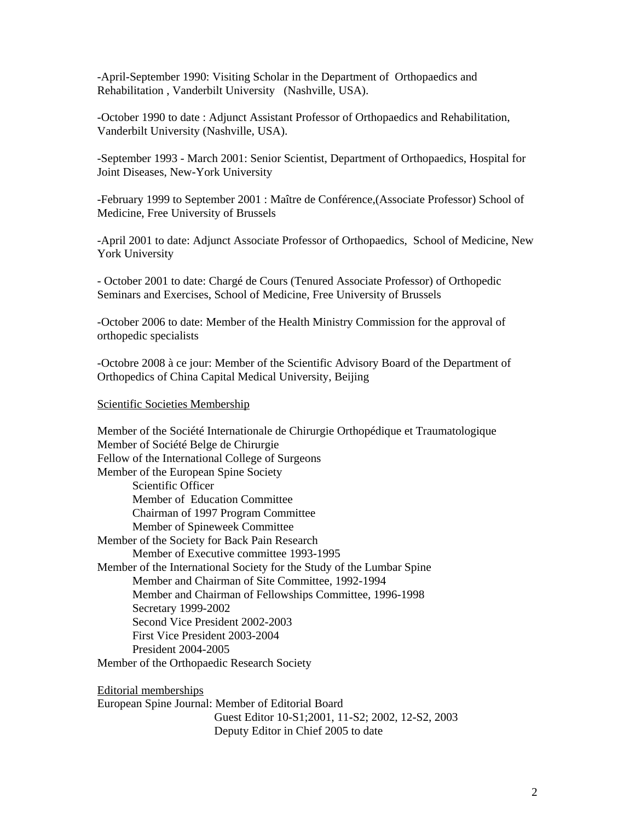-April-September 1990: Visiting Scholar in the Department of Orthopaedics and Rehabilitation , Vanderbilt University (Nashville, USA).

-October 1990 to date : Adjunct Assistant Professor of Orthopaedics and Rehabilitation, Vanderbilt University (Nashville, USA).

-September 1993 - March 2001: Senior Scientist, Department of Orthopaedics, Hospital for Joint Diseases, New-York University

-February 1999 to September 2001 : Maître de Conférence,(Associate Professor) School of Medicine, Free University of Brussels

-April 2001 to date: Adjunct Associate Professor of Orthopaedics, School of Medicine, New York University

- October 2001 to date: Chargé de Cours (Tenured Associate Professor) of Orthopedic Seminars and Exercises, School of Medicine, Free University of Brussels

-October 2006 to date: Member of the Health Ministry Commission for the approval of orthopedic specialists

-Octobre 2008 à ce jour: Member of the Scientific Advisory Board of the Department of Orthopedics of China Capital Medical University, Beijing

#### Scientific Societies Membership

Member of the Société Internationale de Chirurgie Orthopédique et Traumatologique Member of Société Belge de Chirurgie Fellow of the International College of Surgeons Member of the European Spine Society Scientific Officer Member of Education Committee Chairman of 1997 Program Committee Member of Spineweek Committee Member of the Society for Back Pain Research Member of Executive committee 1993-1995 Member of the International Society for the Study of the Lumbar Spine Member and Chairman of Site Committee, 1992-1994 Member and Chairman of Fellowships Committee, 1996-1998 Secretary 1999-2002 Second Vice President 2002-2003 First Vice President 2003-2004 President 2004-2005 Member of the Orthopaedic Research Society

Editorial memberships European Spine Journal: Member of Editorial Board Guest Editor 10-S1;2001, 11-S2; 2002, 12-S2, 2003 Deputy Editor in Chief 2005 to date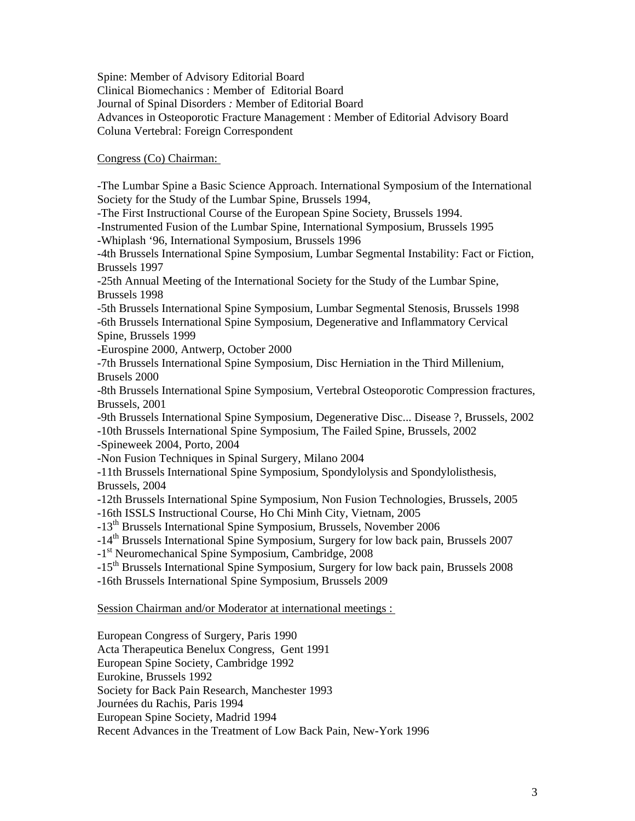Spine: Member of Advisory Editorial Board Clinical Biomechanics : Member of Editorial Board Journal of Spinal Disorders *:* Member of Editorial Board Advances in Osteoporotic Fracture Management : Member of Editorial Advisory Board Coluna Vertebral: Foreign Correspondent

# Congress (Co) Chairman:

-The Lumbar Spine a Basic Science Approach. International Symposium of the International Society for the Study of the Lumbar Spine, Brussels 1994,

-The First Instructional Course of the European Spine Society, Brussels 1994.

-Instrumented Fusion of the Lumbar Spine, International Symposium, Brussels 1995 -Whiplash '96, International Symposium, Brussels 1996

-4th Brussels International Spine Symposium, Lumbar Segmental Instability: Fact or Fiction, Brussels 1997

-25th Annual Meeting of the International Society for the Study of the Lumbar Spine, Brussels 1998

-5th Brussels International Spine Symposium, Lumbar Segmental Stenosis, Brussels 1998 -6th Brussels International Spine Symposium, Degenerative and Inflammatory Cervical Spine, Brussels 1999

-Eurospine 2000, Antwerp, October 2000

-7th Brussels International Spine Symposium*,* Disc Herniation in the Third Millenium, Brusels 2000

-8th Brussels International Spine Symposium*,* Vertebral Osteoporotic Compression fractures*,*  Brussels, 2001

-9th Brussels International Spine Symposium, Degenerative Disc... Disease ?, Brussels, 2002

-10th Brussels International Spine Symposium, The Failed Spine, Brussels, 2002

-Spineweek 2004, Porto, 2004

-Non Fusion Techniques in Spinal Surgery, Milano 2004

-11th Brussels International Spine Symposium, Spondylolysis and Spondylolisthesis, Brussels, 2004

-12th Brussels International Spine Symposium, Non Fusion Technologies, Brussels, 2005

-16th ISSLS Instructional Course, Ho Chi Minh City, Vietnam, 2005

-13th Brussels International Spine Symposium, Brussels, November 2006

-14<sup>th</sup> Brussels International Spine Symposium, Surgery for low back pain, Brussels 2007

-1<sup>st</sup> Neuromechanical Spine Symposium, Cambridge, 2008

-15<sup>th</sup> Brussels International Spine Symposium, Surgery for low back pain, Brussels 2008

-16th Brussels International Spine Symposium, Brussels 2009

### Session Chairman and/or Moderator at international meetings :

European Congress of Surgery, Paris 1990

Acta Therapeutica Benelux Congress, Gent 1991

European Spine Society, Cambridge 1992

Eurokine, Brussels 1992

Society for Back Pain Research, Manchester 1993

Journées du Rachis, Paris 1994

European Spine Society, Madrid 1994

Recent Advances in the Treatment of Low Back Pain, New-York 1996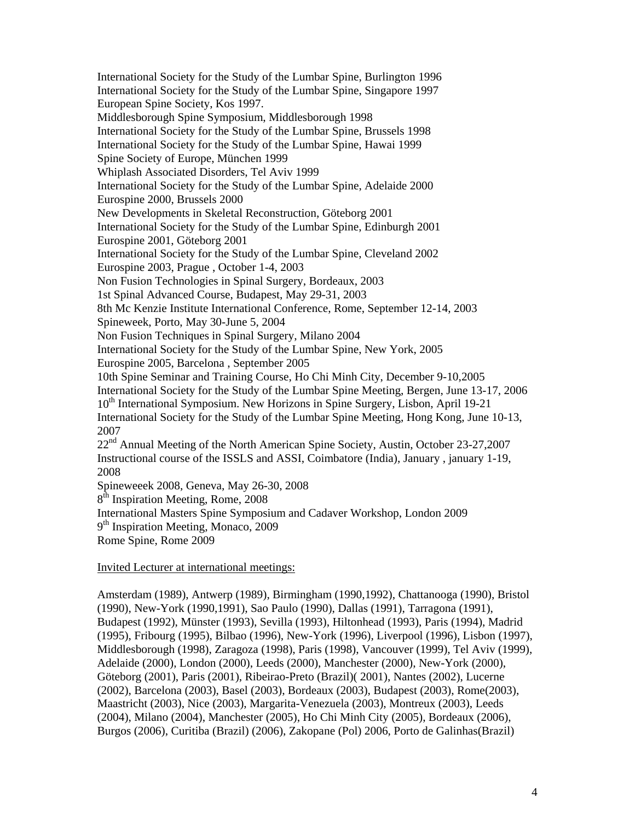International Society for the Study of the Lumbar Spine, Burlington 1996 International Society for the Study of the Lumbar Spine, Singapore 1997 European Spine Society, Kos 1997. Middlesborough Spine Symposium, Middlesborough 1998 International Society for the Study of the Lumbar Spine, Brussels 1998 International Society for the Study of the Lumbar Spine, Hawai 1999 Spine Society of Europe, München 1999 Whiplash Associated Disorders, Tel Aviv 1999 International Society for the Study of the Lumbar Spine, Adelaide 2000 Eurospine 2000, Brussels 2000 New Developments in Skeletal Reconstruction, Göteborg 2001 International Society for the Study of the Lumbar Spine, Edinburgh 2001 Eurospine 2001, Göteborg 2001 International Society for the Study of the Lumbar Spine, Cleveland 2002 Eurospine 2003, Prague , October 1-4, 2003 Non Fusion Technologies in Spinal Surgery, Bordeaux, 2003 1st Spinal Advanced Course, Budapest, May 29-31, 2003 8th Mc Kenzie Institute International Conference, Rome, September 12-14, 2003 Spineweek, Porto, May 30-June 5, 2004 Non Fusion Techniques in Spinal Surgery, Milano 2004 International Society for the Study of the Lumbar Spine, New York, 2005 Eurospine 2005, Barcelona , September 2005 10th Spine Seminar and Training Course, Ho Chi Minh City, December 9-10,2005 International Society for the Study of the Lumbar Spine Meeting, Bergen, June 13-17, 2006 10<sup>th</sup> International Symposium. New Horizons in Spine Surgery, Lisbon, April 19-21 International Society for the Study of the Lumbar Spine Meeting, Hong Kong, June 10-13, 2007 22<sup>nd</sup> Annual Meeting of the North American Spine Society, Austin, October 23-27,2007 Instructional course of the ISSLS and ASSI, Coimbatore (India), January , january 1-19, 2008 Spineweeek 2008, Geneva, May 26-30, 2008 8<sup>th</sup> Inspiration Meeting, Rome, 2008 International Masters Spine Symposium and Cadaver Workshop, London 2009 9<sup>th</sup> Inspiration Meeting, Monaco, 2009 Rome Spine, Rome 2009

Invited Lecturer at international meetings:

Amsterdam (1989), Antwerp (1989), Birmingham (1990,1992), Chattanooga (1990), Bristol (1990), New-York (1990,1991), Sao Paulo (1990), Dallas (1991), Tarragona (1991), Budapest (1992), Münster (1993), Sevilla (1993), Hiltonhead (1993), Paris (1994), Madrid (1995), Fribourg (1995), Bilbao (1996), New-York (1996), Liverpool (1996), Lisbon (1997), Middlesborough (1998), Zaragoza (1998), Paris (1998), Vancouver (1999), Tel Aviv (1999), Adelaide (2000), London (2000), Leeds (2000), Manchester (2000), New-York (2000), Göteborg (2001), Paris (2001), Ribeirao-Preto (Brazil)( 2001), Nantes (2002), Lucerne (2002), Barcelona (2003), Basel (2003), Bordeaux (2003), Budapest (2003), Rome(2003), Maastricht (2003), Nice (2003), Margarita-Venezuela (2003), Montreux (2003), Leeds (2004), Milano (2004), Manchester (2005), Ho Chi Minh City (2005), Bordeaux (2006), Burgos (2006), Curitiba (Brazil) (2006), Zakopane (Pol) 2006, Porto de Galinhas(Brazil)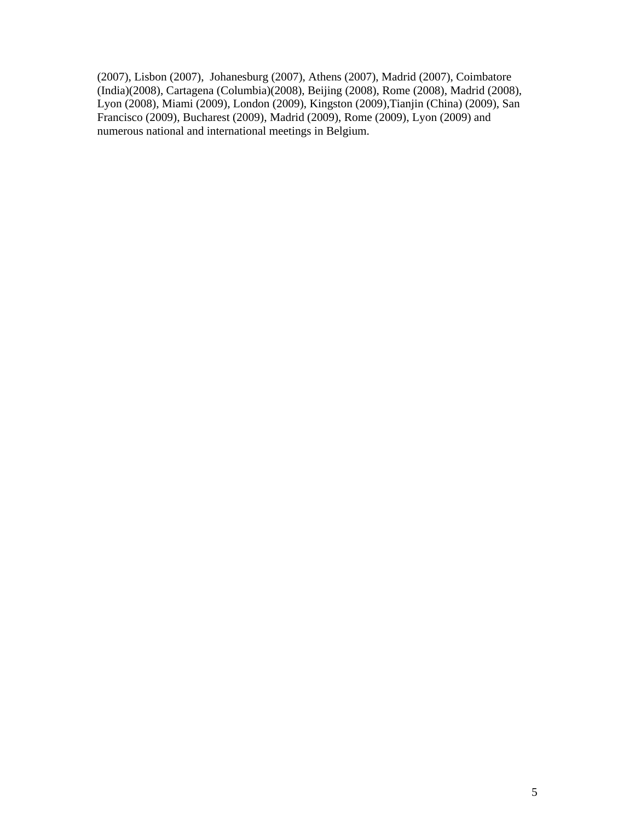(2007), Lisbon (2007), Johanesburg (2007), Athens (2007), Madrid (2007), Coimbatore (India)(2008), Cartagena (Columbia)(2008), Beijing (2008), Rome (2008), Madrid (2008), Lyon (2008), Miami (2009), London (2009), Kingston (2009),Tianjin (China) (2009), San Francisco (2009), Bucharest (2009), Madrid (2009), Rome (2009), Lyon (2009) and numerous national and international meetings in Belgium.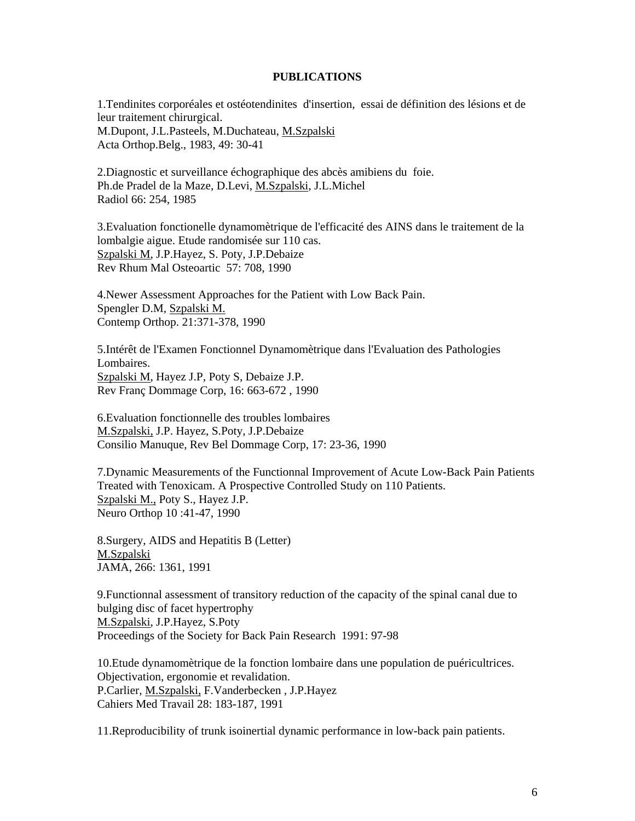### **PUBLICATIONS**

1.Tendinites corporéales et ostéotendinites d'insertion, essai de définition des lésions et de leur traitement chirurgical. M.Dupont, J.L.Pasteels, M.Duchateau, M.Szpalski Acta Orthop.Belg., 1983, 49: 30-41

2.Diagnostic et surveillance échographique des abcès amibiens du foie. Ph.de Pradel de la Maze, D.Levi, M.Szpalski, J.L.Michel Radiol 66: 254, 1985

3.Evaluation fonctionelle dynamomètrique de l'efficacité des AINS dans le traitement de la lombalgie aigue. Etude randomisée sur 110 cas. Szpalski M, J.P.Hayez, S. Poty, J.P.Debaize Rev Rhum Mal Osteoartic 57: 708, 1990

4.Newer Assessment Approaches for the Patient with Low Back Pain. Spengler D.M, Szpalski M. Contemp Orthop. 21:371-378, 1990

5.Intérêt de l'Examen Fonctionnel Dynamomètrique dans l'Evaluation des Pathologies Lombaires. Szpalski M, Hayez J.P, Poty S, Debaize J.P. Rev Franç Dommage Corp, 16: 663-672 , 1990

6.Evaluation fonctionnelle des troubles lombaires M.Szpalski, J.P. Hayez, S.Poty, J.P.Debaize Consilio Manuque, Rev Bel Dommage Corp, 17: 23-36, 1990

7.Dynamic Measurements of the Functionnal Improvement of Acute Low-Back Pain Patients Treated with Tenoxicam. A Prospective Controlled Study on 110 Patients. Szpalski M., Poty S., Hayez J.P. Neuro Orthop 10 :41-47, 1990

8.Surgery, AIDS and Hepatitis B (Letter) M.Szpalski JAMA, 266: 1361, 1991

9.Functionnal assessment of transitory reduction of the capacity of the spinal canal due to bulging disc of facet hypertrophy M.Szpalski, J.P.Hayez, S.Poty Proceedings of the Society for Back Pain Research 1991: 97-98

10.Etude dynamomètrique de la fonction lombaire dans une population de puéricultrices. Objectivation, ergonomie et revalidation. P.Carlier, M.Szpalski, F.Vanderbecken , J.P.Hayez Cahiers Med Travail 28: 183-187, 1991

11.Reproducibility of trunk isoinertial dynamic performance in low-back pain patients.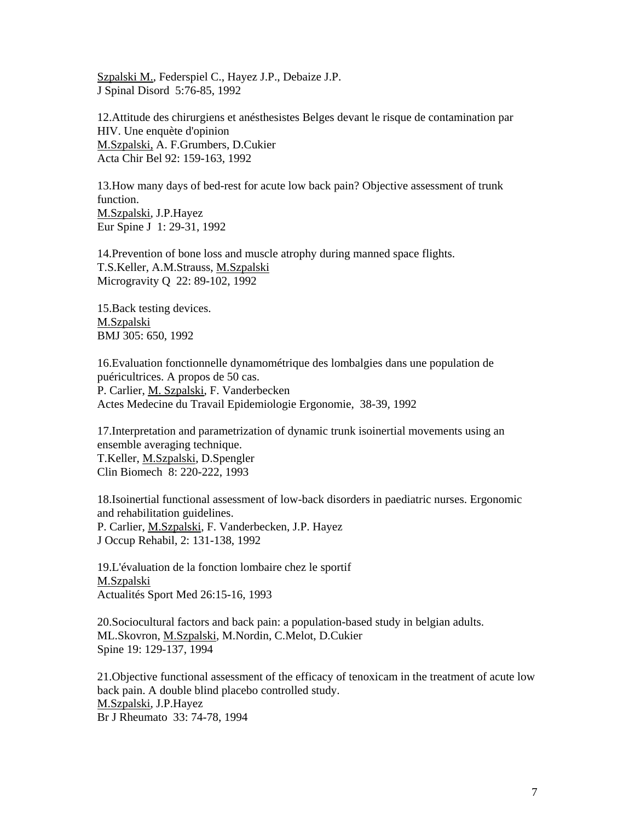Szpalski M., Federspiel C., Hayez J.P., Debaize J.P. J Spinal Disord 5:76-85, 1992

12.Attitude des chirurgiens et anésthesistes Belges devant le risque de contamination par HIV. Une enquète d'opinion M.Szpalski, A. F.Grumbers, D.Cukier Acta Chir Bel 92: 159-163, 1992

13.How many days of bed-rest for acute low back pain? Objective assessment of trunk function. M.Szpalski, J.P.Hayez Eur Spine J 1: 29-31, 1992

14.Prevention of bone loss and muscle atrophy during manned space flights. T.S.Keller, A.M.Strauss, M.Szpalski Microgravity Q 22: 89-102, 1992

15.Back testing devices. M.Szpalski BMJ 305: 650, 1992

16.Evaluation fonctionnelle dynamométrique des lombalgies dans une population de puéricultrices. A propos de 50 cas. P. Carlier, M. Szpalski, F. Vanderbecken Actes Medecine du Travail Epidemiologie Ergonomie, 38-39, 1992

17.Interpretation and parametrization of dynamic trunk isoinertial movements using an ensemble averaging technique. T.Keller, M.Szpalski, D.Spengler Clin Biomech 8: 220-222, 1993

18.Isoinertial functional assessment of low-back disorders in paediatric nurses. Ergonomic and rehabilitation guidelines. P. Carlier, M.Szpalski, F. Vanderbecken, J.P. Hayez J Occup Rehabil, 2: 131-138, 1992

19.L'évaluation de la fonction lombaire chez le sportif M.Szpalski Actualités Sport Med 26:15-16, 1993

20.Sociocultural factors and back pain: a population-based study in belgian adults. ML.Skovron, M.Szpalski, M.Nordin, C.Melot, D.Cukier Spine 19: 129-137, 1994

21.Objective functional assessment of the efficacy of tenoxicam in the treatment of acute low back pain. A double blind placebo controlled study. M.Szpalski, J.P.Hayez Br J Rheumato 33: 74-78, 1994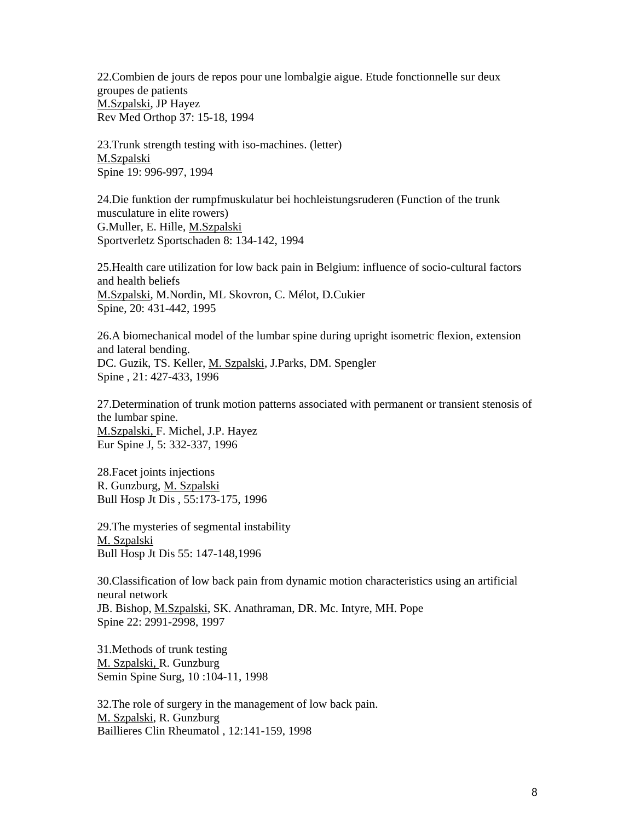22.Combien de jours de repos pour une lombalgie aigue. Etude fonctionnelle sur deux groupes de patients M.Szpalski, JP Hayez Rev Med Orthop 37: 15-18, 1994

23.Trunk strength testing with iso-machines. (letter) M.Szpalski Spine 19: 996-997, 1994

24.Die funktion der rumpfmuskulatur bei hochleistungsruderen (Function of the trunk musculature in elite rowers) G.Muller, E. Hille, M.Szpalski Sportverletz Sportschaden 8: 134-142, 1994

25.Health care utilization for low back pain in Belgium: influence of socio-cultural factors and health beliefs M.Szpalski, M.Nordin, ML Skovron, C. Mélot, D.Cukier Spine, 20: 431-442, 1995

26.A biomechanical model of the lumbar spine during upright isometric flexion, extension and lateral bending. DC. Guzik, TS. Keller, M. Szpalski, J.Parks, DM. Spengler Spine , 21: 427-433, 1996

27.Determination of trunk motion patterns associated with permanent or transient stenosis of the lumbar spine. M.Szpalski, F. Michel, J.P. Hayez Eur Spine J, 5: 332-337, 1996

28.Facet joints injections R. Gunzburg, M. Szpalski Bull Hosp Jt Dis , 55:173-175, 1996

29.The mysteries of segmental instability M. Szpalski Bull Hosp Jt Dis 55: 147-148,1996

30.Classification of low back pain from dynamic motion characteristics using an artificial neural network JB. Bishop, M.Szpalski, SK. Anathraman, DR. Mc. Intyre, MH. Pope Spine 22: 2991-2998, 1997

31.Methods of trunk testing M. Szpalski, R. Gunzburg Semin Spine Surg, 10 :104-11, 1998

32.The role of surgery in the management of low back pain. M. Szpalski, R. Gunzburg Baillieres Clin Rheumatol , 12:141-159, 1998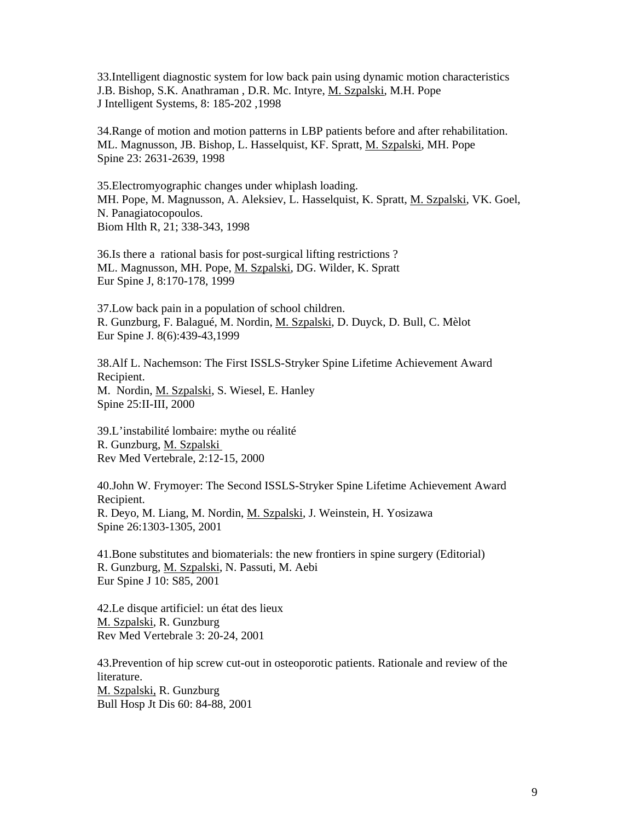33.Intelligent diagnostic system for low back pain using dynamic motion characteristics J.B. Bishop, S.K. Anathraman, D.R. Mc. Intyre, M. Szpalski, M.H. Pope J Intelligent Systems, 8: 185-202 ,1998

34.Range of motion and motion patterns in LBP patients before and after rehabilitation. ML. Magnusson, JB. Bishop, L. Hasselquist, KF. Spratt, M. Szpalski, MH. Pope Spine 23: 2631-2639, 1998

35.Electromyographic changes under whiplash loading. MH. Pope, M. Magnusson, A. Aleksiev, L. Hasselquist, K. Spratt, M. Szpalski, VK. Goel, N. Panagiatocopoulos. Biom Hlth R, 21; 338-343, 1998

36.Is there a rational basis for post-surgical lifting restrictions ? ML. Magnusson, MH. Pope, M. Szpalski, DG. Wilder, K. Spratt Eur Spine J, 8:170-178, 1999

37.Low back pain in a population of school children. R. Gunzburg, F. Balagué, M. Nordin, M. Szpalski, D. Duyck, D. Bull, C. Mèlot Eur Spine J. 8(6):439-43,1999

38.Alf L. Nachemson: The First ISSLS-Stryker Spine Lifetime Achievement Award Recipient. M. Nordin, M. Szpalski, S. Wiesel, E. Hanley Spine 25:II-III, 2000

39.L'instabilité lombaire: mythe ou réalité R. Gunzburg, M. Szpalski Rev Med Vertebrale, 2:12-15, 2000

40.John W. Frymoyer: The Second ISSLS-Stryker Spine Lifetime Achievement Award Recipient. R. Deyo, M. Liang, M. Nordin, M. Szpalski, J. Weinstein, H. Yosizawa Spine 26:1303-1305, 2001

41.Bone substitutes and biomaterials: the new frontiers in spine surgery (Editorial) R. Gunzburg, M. Szpalski, N. Passuti, M. Aebi Eur Spine J 10: S85, 2001

42.Le disque artificiel: un état des lieux M. Szpalski, R. Gunzburg Rev Med Vertebrale 3: 20-24, 2001

43.Prevention of hip screw cut-out in osteoporotic patients. Rationale and review of the literature. M. Szpalski, R. Gunzburg Bull Hosp Jt Dis 60: 84-88, 2001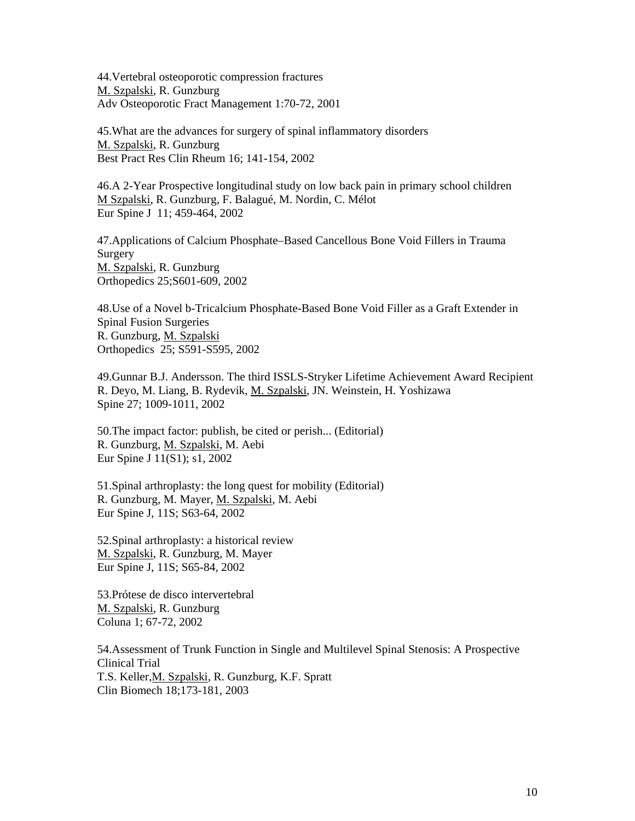44.Vertebral osteoporotic compression fractures M. Szpalski*,* R. Gunzburg Adv Osteoporotic Fract Management 1:70-72, 2001

45.What are the advances for surgery of spinal inflammatory disorders M. Szpalski, R. Gunzburg Best Pract Res Clin Rheum 16; 141-154, 2002

46.A 2-Year Prospective longitudinal study on low back pain in primary school children M Szpalski, R. Gunzburg, F. Balagué, M. Nordin, C. Mélot Eur Spine J 11; 459-464, 2002

47.Applications of Calcium Phosphate–Based Cancellous Bone Void Fillers in Trauma Surgery M. Szpalski, R. Gunzburg Orthopedics 25;S601-609, 2002

48.Use of a Novel b-Tricalcium Phosphate-Based Bone Void Filler as a Graft Extender in Spinal Fusion Surgeries R. Gunzburg, M. Szpalski Orthopedics 25; S591-S595, 2002

49.Gunnar B.J. Andersson. The third ISSLS-Stryker Lifetime Achievement Award Recipient R. Deyo, M. Liang, B. Rydevik, M. Szpalski, JN. Weinstein, H. Yoshizawa Spine 27; 1009-1011, 2002

50.The impact factor: publish, be cited or perish... (Editorial) R. Gunzburg, M. Szpalski, M. Aebi Eur Spine J 11(S1); s1, 2002

51.Spinal arthroplasty: the long quest for mobility (Editorial) R. Gunzburg, M. Mayer, M. Szpalski, M. Aebi Eur Spine J, 11S; S63-64, 2002

52.Spinal arthroplasty: a historical review M. Szpalski, R. Gunzburg, M. Mayer Eur Spine J, 11S; S65-84, 2002

53.Prótese de disco intervertebral M. Szpalski, R. Gunzburg Coluna 1; 67-72, 2002

54.Assessment of Trunk Function in Single and Multilevel Spinal Stenosis: A Prospective Clinical Trial T.S. Keller, M. Szpalski, R. Gunzburg, K.F. Spratt Clin Biomech 18;173-181, 2003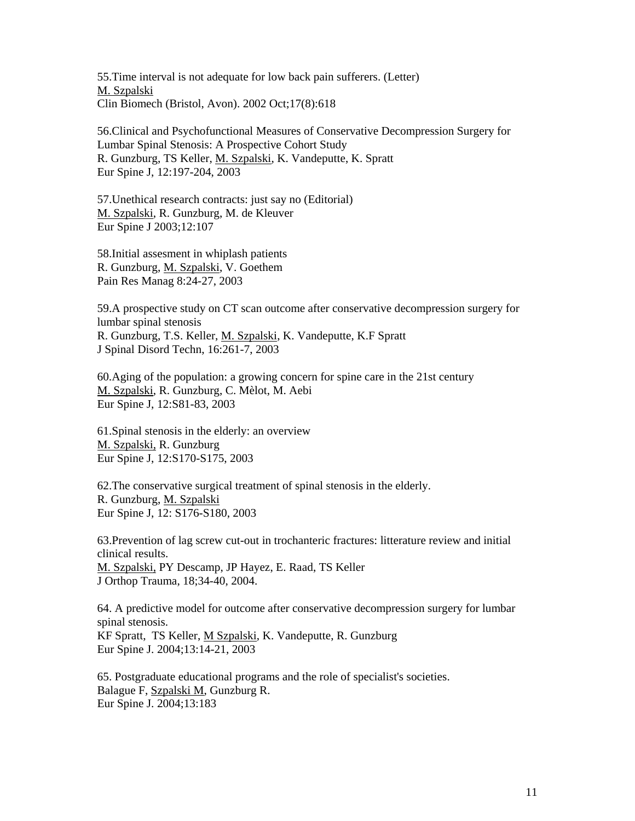55.Time interval is not adequate for low back pain sufferers. (Letter) M. Szpalski Clin Biomech (Bristol, Avon). 2002 Oct;17(8):618

56.Clinical and Psychofunctional Measures of Conservative Decompression Surgery for Lumbar Spinal Stenosis: A Prospective Cohort Study R. Gunzburg, TS Keller, M. Szpalski, K. Vandeputte, K. Spratt Eur Spine J, 12:197-204, 2003

57.Unethical research contracts: just say no (Editorial) M. Szpalski, R. Gunzburg, M. de Kleuver Eur Spine J 2003;12:107

58.Initial assesment in whiplash patients R. Gunzburg, M. Szpalski, V. Goethem Pain Res Manag 8:24-27, 2003

59.A prospective study on CT scan outcome after conservative decompression surgery for lumbar spinal stenosis R. Gunzburg, T.S. Keller, M. Szpalski, K. Vandeputte, K.F Spratt J Spinal Disord Techn, 16:261-7, 2003

60.Aging of the population: a growing concern for spine care in the 21st century M. Szpalski, R. Gunzburg, C. Mèlot, M. Aebi Eur Spine J, 12:S81-83, 2003

61.Spinal stenosis in the elderly: an overview M. Szpalski, R. Gunzburg Eur Spine J, 12:S170-S175, 2003

62.The conservative surgical treatment of spinal stenosis in the elderly. R. Gunzburg, M. Szpalski Eur Spine J, 12: S176-S180, 2003

63.Prevention of lag screw cut-out in trochanteric fractures: litterature review and initial clinical results. M. Szpalski, PY Descamp, JP Hayez, E. Raad, TS Keller J Orthop Trauma, 18;34-40, 2004.

64. A predictive model for outcome after conservative decompression surgery for lumbar spinal stenosis. KF Spratt, TS Keller, M Szpalski, K. Vandeputte, R. Gunzburg Eur Spine J. 2004;13:14-21, 2003

65. Postgraduate educational programs and the role of specialist's societies. Balague F, Szpalski M, Gunzburg R. Eur Spine J. 2004;13:183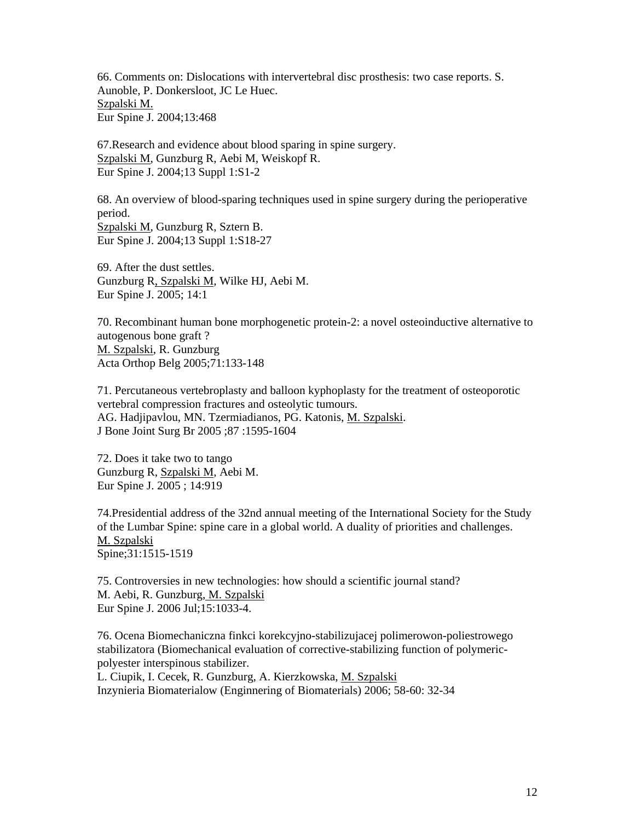66. Comments on: Dislocations with intervertebral disc prosthesis: two case reports. S. Aunoble, P. Donkersloot, JC Le Huec. Szpalski M. Eur Spine J. 2004;13:468

67.Research and evidence about blood sparing in spine surgery. Szpalski M, Gunzburg R, Aebi M, Weiskopf R. Eur Spine J. 2004;13 Suppl 1:S1-2

68. An overview of blood-sparing techniques used in spine surgery during the perioperative period. Szpalski M, Gunzburg R, Sztern B. Eur Spine J. 2004;13 Suppl 1:S18-27

69. After the dust settles. Gunzburg R, Szpalski M, Wilke HJ, Aebi M. Eur Spine J. 2005; 14:1

70. Recombinant human bone morphogenetic protein-2: a novel osteoinductive alternative to autogenous bone graft ? M. Szpalski, R. Gunzburg Acta Orthop Belg 2005;71:133-148

71. Percutaneous vertebroplasty and balloon kyphoplasty for the treatment of osteoporotic vertebral compression fractures and osteolytic tumours. AG. Hadjipavlou, MN. Tzermiadianos, PG. Katonis, M. Szpalski. J Bone Joint Surg Br 2005 ;87 :1595-1604

72. Does it take two to tango Gunzburg R, Szpalski M, Aebi M. Eur Spine J. 2005 ; 14:919

74.Presidential address of the 32nd annual meeting of the International Society for the Study of the Lumbar Spine: spine care in a global world. A duality of priorities and challenges. M. Szpalski Spine;31:1515-1519

75. Controversies in new technologies: how should a scientific journal stand? M. Aebi, R. Gunzburg, M. Szpalski Eur Spine J. 2006 Jul;15:1033-4.

76. Ocena Biomechaniczna finkci korekcyjno-stabilizujacej polimerowon-poliestrowego stabilizatora (Biomechanical evaluation of corrective-stabilizing function of polymericpolyester interspinous stabilizer.

L. Ciupik, I. Cecek, R. Gunzburg, A. Kierzkowska, M. Szpalski Inzynieria Biomaterialow (Enginnering of Biomaterials) 2006; 58-60: 32-34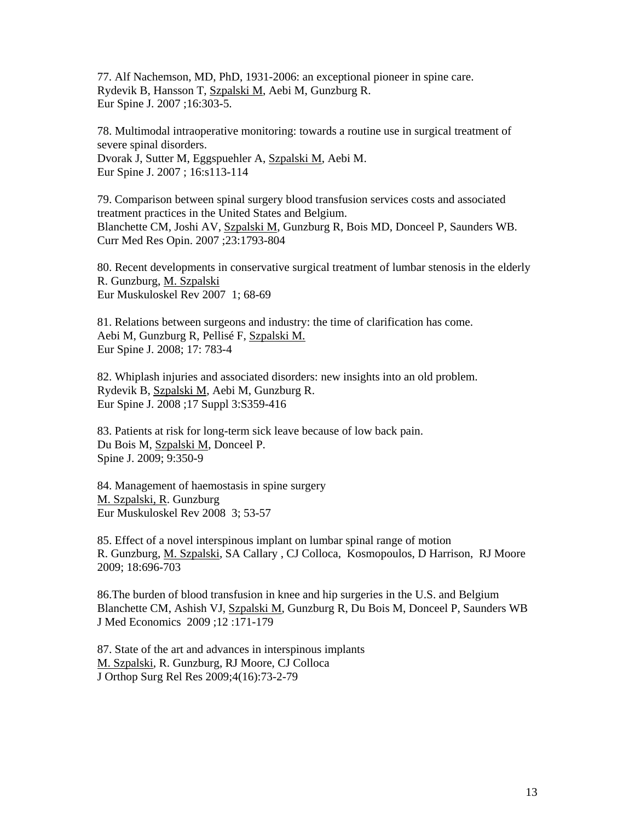77. Alf Nachemson, MD, PhD, 1931-2006: an exceptional pioneer in spine care. Rydevik B, Hansson T, Szpalski M, Aebi M, Gunzburg R. Eur Spine J. 2007 ;16:303-5.

78. Multimodal intraoperative monitoring: towards a routine use in surgical treatment of severe spinal disorders. Dvorak J, Sutter M, Eggspuehler A, Szpalski M, Aebi M. Eur Spine J. 2007 ; 16:s113-114

79. Comparison between spinal surgery blood transfusion services costs and associated treatment practices in the United States and Belgium. Blanchette CM, Joshi AV, Szpalski M, Gunzburg R, Bois MD, Donceel P, Saunders WB. Curr Med Res Opin. 2007 ;23:1793-804

80. Recent developments in conservative surgical treatment of lumbar stenosis in the elderly R. Gunzburg, M. Szpalski Eur Muskuloskel Rev 2007 1; 68-69

81. Relations between surgeons and industry: the time of clarification has come. Aebi M, Gunzburg R, Pellisé F, Szpalski M. Eur Spine J. 2008; 17: 783-4

82. Whiplash injuries and associated disorders: new insights into an old problem. Rydevik B, Szpalski M, Aebi M, Gunzburg R. Eur Spine J. 2008 ;17 Suppl 3:S359-416

83. Patients at risk for long-term sick leave because of low back pain. Du Bois M, Szpalski M, Donceel P. Spine J. 2009; 9:350-9

84. Management of haemostasis in spine surgery M. Szpalski, R. Gunzburg Eur Muskuloskel Rev 2008 3; 53-57

85. Effect of a novel interspinous implant on lumbar spinal range of motion R. Gunzburg, M. Szpalski, SA Callary , CJ Colloca, Kosmopoulos, D Harrison, RJ Moore 2009; 18:696-703

86.The burden of blood transfusion in knee and hip surgeries in the U.S. and Belgium Blanchette CM, Ashish VJ, Szpalski M, Gunzburg R, Du Bois M, Donceel P, Saunders WB J Med Economics 2009 ;12 :171-179

87. State of the art and advances in interspinous implants M. Szpalski, R. Gunzburg, RJ Moore, CJ Colloca J Orthop Surg Rel Res 2009;4(16):73-2-79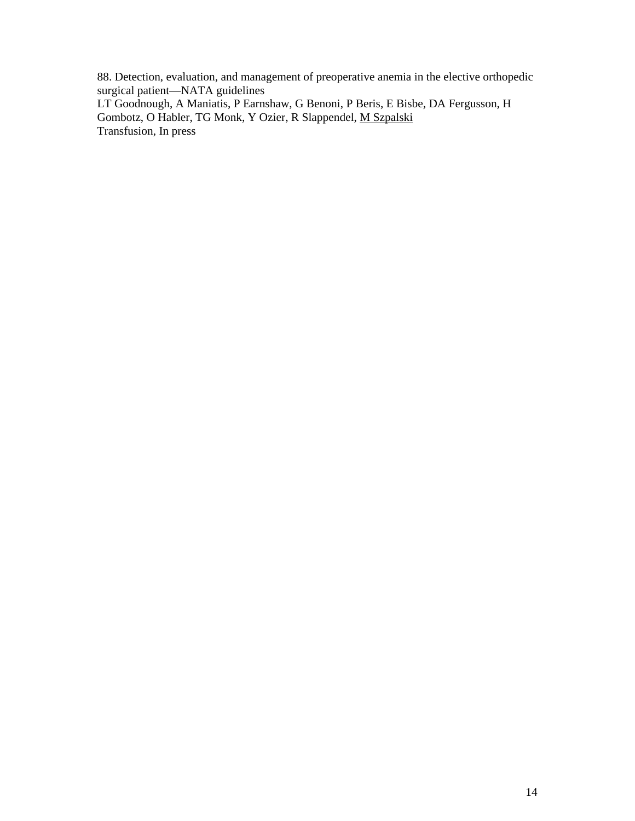88. Detection, evaluation, and management of preoperative anemia in the elective orthopedic surgical patient—NATA guidelines LT Goodnough, A Maniatis, P Earnshaw, G Benoni, P Beris, E Bisbe, DA Fergusson, H Gombotz, O Habler, TG Monk, Y Ozier, R Slappendel, M Szpalski

Transfusion, In press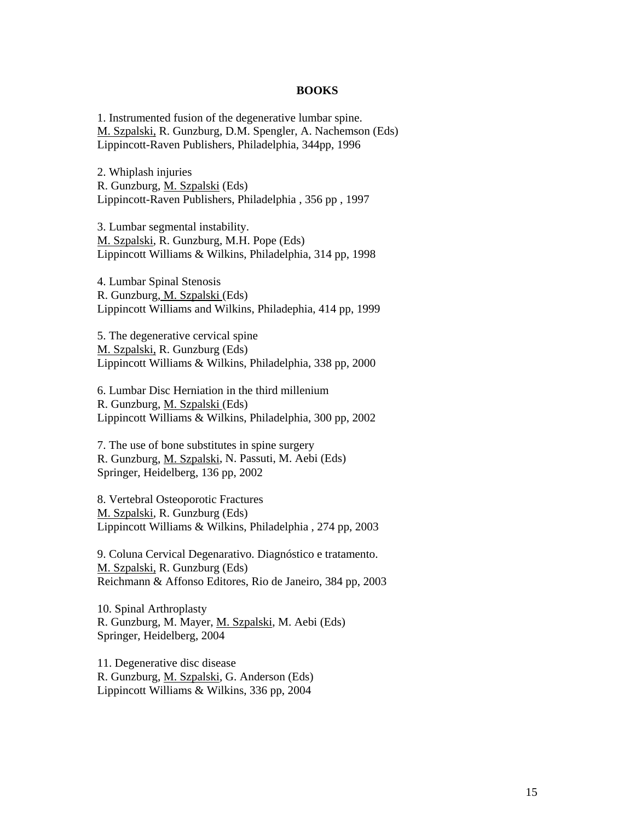#### **BOOKS**

1. Instrumented fusion of the degenerative lumbar spine. M. Szpalski, R. Gunzburg, D.M. Spengler, A. Nachemson (Eds) Lippincott-Raven Publishers, Philadelphia, 344pp, 1996

2. Whiplash injuries R. Gunzburg, M. Szpalski (Eds) Lippincott-Raven Publishers, Philadelphia , 356 pp , 1997

3. Lumbar segmental instability. M. Szpalski, R. Gunzburg, M.H. Pope (Eds) Lippincott Williams & Wilkins, Philadelphia, 314 pp, 1998

4. Lumbar Spinal Stenosis R. Gunzburg, M. Szpalski (Eds) Lippincott Williams and Wilkins, Philadephia, 414 pp, 1999

5. The degenerative cervical spine M. Szpalski, R. Gunzburg (Eds) Lippincott Williams & Wilkins, Philadelphia, 338 pp, 2000

6. Lumbar Disc Herniation in the third millenium R. Gunzburg, M. Szpalski (Eds) Lippincott Williams & Wilkins, Philadelphia, 300 pp, 2002

7. The use of bone substitutes in spine surgery R. Gunzburg, M. Szpalski, N. Passuti, M. Aebi (Eds) Springer, Heidelberg, 136 pp, 2002

8. Vertebral Osteoporotic Fractures M. Szpalski, R. Gunzburg (Eds) Lippincott Williams & Wilkins, Philadelphia , 274 pp, 2003

9. Coluna Cervical Degenarativo. Diagnóstico e tratamento. M. Szpalski, R. Gunzburg (Eds) Reichmann & Affonso Editores, Rio de Janeiro, 384 pp, 2003

10. Spinal Arthroplasty R. Gunzburg, M. Mayer, M. Szpalski, M. Aebi (Eds) Springer, Heidelberg, 2004

11. Degenerative disc disease R. Gunzburg, M. Szpalski, G. Anderson (Eds) Lippincott Williams & Wilkins, 336 pp, 2004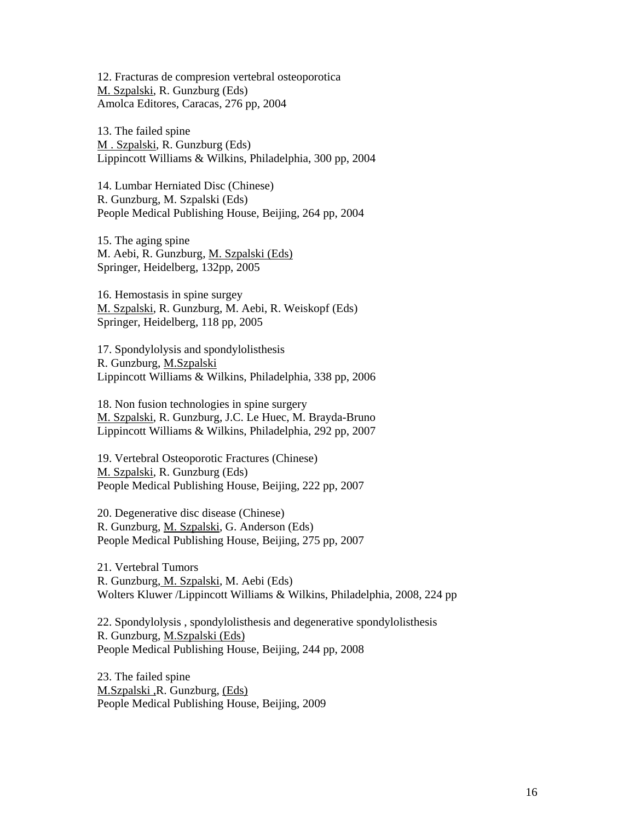12. Fracturas de compresion vertebral osteoporotica M. Szpalski, R. Gunzburg (Eds) Amolca Editores, Caracas, 276 pp, 2004

13. The failed spine M . Szpalski, R. Gunzburg (Eds) Lippincott Williams & Wilkins, Philadelphia, 300 pp, 2004

14. Lumbar Herniated Disc (Chinese) R. Gunzburg, M. Szpalski (Eds) People Medical Publishing House, Beijing, 264 pp, 2004

15. The aging spine M. Aebi, R. Gunzburg, M. Szpalski (Eds) Springer, Heidelberg, 132pp, 2005

16. Hemostasis in spine surgey M. Szpalski, R. Gunzburg, M. Aebi, R. Weiskopf (Eds) Springer, Heidelberg, 118 pp, 2005

17. Spondylolysis and spondylolisthesis R. Gunzburg, M.Szpalski Lippincott Williams & Wilkins, Philadelphia, 338 pp, 2006

18. Non fusion technologies in spine surgery M. Szpalski, R. Gunzburg, J.C. Le Huec, M. Brayda-Bruno Lippincott Williams & Wilkins, Philadelphia, 292 pp, 2007

19. Vertebral Osteoporotic Fractures (Chinese) M. Szpalski, R. Gunzburg (Eds) People Medical Publishing House, Beijing, 222 pp, 2007

20. Degenerative disc disease (Chinese) R. Gunzburg, M. Szpalski, G. Anderson (Eds) People Medical Publishing House, Beijing, 275 pp, 2007

21. Vertebral Tumors R. Gunzburg, M. Szpalski, M. Aebi (Eds) Wolters Kluwer /Lippincott Williams & Wilkins, Philadelphia, 2008, 224 pp

22. Spondylolysis , spondylolisthesis and degenerative spondylolisthesis R. Gunzburg, M.Szpalski (Eds) People Medical Publishing House, Beijing, 244 pp, 2008

23. The failed spine M.Szpalski ,R. Gunzburg, (Eds) People Medical Publishing House, Beijing, 2009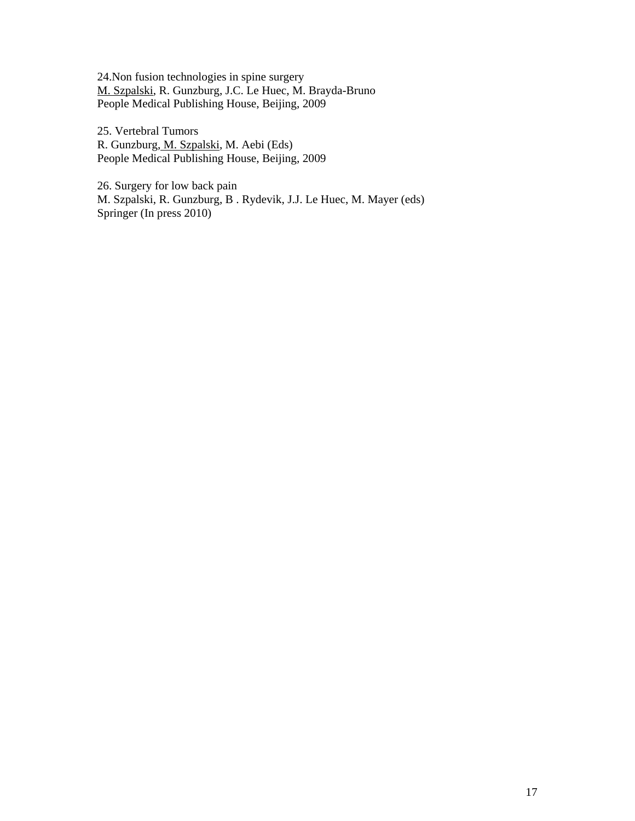24.Non fusion technologies in spine surgery M. Szpalski, R. Gunzburg, J.C. Le Huec, M. Brayda-Bruno People Medical Publishing House, Beijing, 2009

25. Vertebral Tumors R. Gunzburg, M. Szpalski, M. Aebi (Eds) People Medical Publishing House, Beijing, 2009

26. Surgery for low back pain M. Szpalski, R. Gunzburg, B . Rydevik, J.J. Le Huec, M. Mayer (eds) Springer (In press 2010)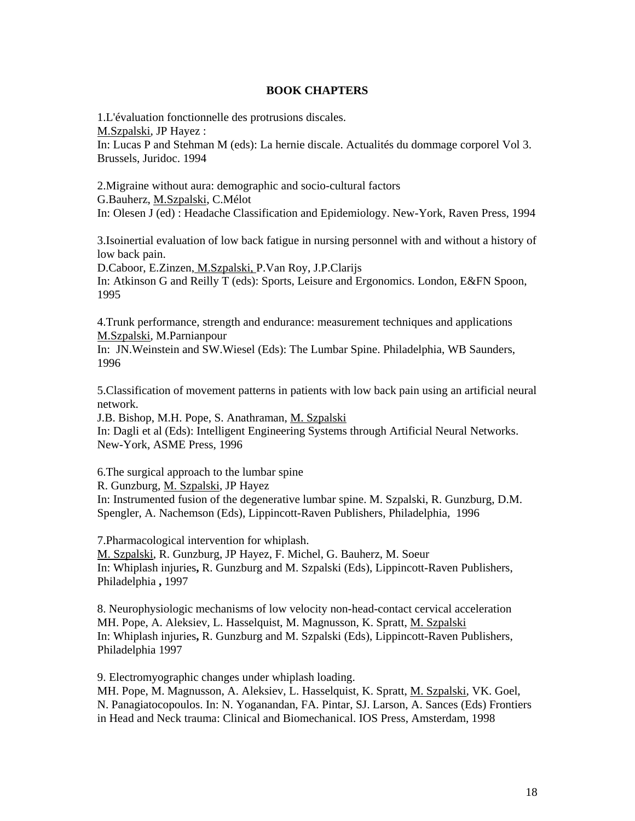## **BOOK CHAPTERS**

1.L'évaluation fonctionnelle des protrusions discales. M.Szpalski, JP Hayez : In: Lucas P and Stehman M (eds): La hernie discale. Actualités du dommage corporel Vol 3. Brussels, Juridoc. 1994

2.Migraine without aura: demographic and socio-cultural factors G.Bauherz, M.Szpalski, C.Mélot In: Olesen J (ed) : Headache Classification and Epidemiology. New-York, Raven Press, 1994

3.Isoinertial evaluation of low back fatigue in nursing personnel with and without a history of low back pain.

D.Caboor, E.Zinzen, M.Szpalski, P.Van Roy, J.P.Clarijs In: Atkinson G and Reilly T (eds): Sports, Leisure and Ergonomics. London, E&FN Spoon, 1995

4.Trunk performance, strength and endurance: measurement techniques and applications M.Szpalski, M.Parnianpour

In: JN.Weinstein and SW.Wiesel (Eds): The Lumbar Spine. Philadelphia, WB Saunders, 1996

5.Classification of movement patterns in patients with low back pain using an artificial neural network.

J.B. Bishop, M.H. Pope, S. Anathraman, M. Szpalski In: Dagli et al (Eds): Intelligent Engineering Systems through Artificial Neural Networks. New-York, ASME Press, 1996

6.The surgical approach to the lumbar spine

R. Gunzburg, M. Szpalski, JP Hayez

In: Instrumented fusion of the degenerative lumbar spine. M. Szpalski, R. Gunzburg, D.M. Spengler, A. Nachemson (Eds), Lippincott-Raven Publishers, Philadelphia, 1996

7.Pharmacological intervention for whiplash. M. Szpalski, R. Gunzburg, JP Hayez, F. Michel, G. Bauherz, M. Soeur In: Whiplash injuries**,** R. Gunzburg and M. Szpalski (Eds), Lippincott-Raven Publishers, Philadelphia **,** 1997

8. Neurophysiologic mechanisms of low velocity non-head-contact cervical acceleration MH. Pope, A. Aleksiev, L. Hasselquist, M. Magnusson, K. Spratt, M. Szpalski In: Whiplash injuries**,** R. Gunzburg and M. Szpalski (Eds), Lippincott-Raven Publishers, Philadelphia 1997

9. Electromyographic changes under whiplash loading.

MH. Pope, M. Magnusson, A. Aleksiev, L. Hasselquist, K. Spratt, M. Szpalski, VK. Goel, N. Panagiatocopoulos. In: N. Yoganandan, FA. Pintar, SJ. Larson, A. Sances (Eds) Frontiers in Head and Neck trauma: Clinical and Biomechanical. IOS Press, Amsterdam, 1998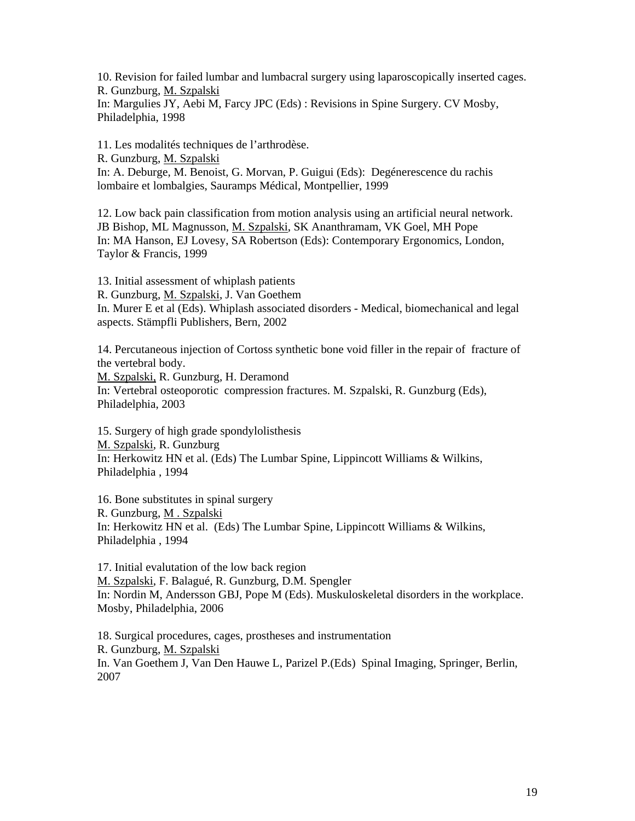10. Revision for failed lumbar and lumbacral surgery using laparoscopically inserted cages. R. Gunzburg, M. Szpalski In: Margulies JY, Aebi M, Farcy JPC (Eds) : Revisions in Spine Surgery. CV Mosby, Philadelphia, 1998

11. Les modalités techniques de l'arthrodèse.

R. Gunzburg, M. Szpalski

In: A. Deburge, M. Benoist, G. Morvan, P. Guigui (Eds): Degénerescence du rachis lombaire et lombalgies, Sauramps Médical, Montpellier, 1999

12. Low back pain classification from motion analysis using an artificial neural network. JB Bishop, ML Magnusson, M. Szpalski, SK Ananthramam, VK Goel, MH Pope In: MA Hanson, EJ Lovesy, SA Robertson (Eds): Contemporary Ergonomics, London, Taylor & Francis, 1999

13. Initial assessment of whiplash patients

R. Gunzburg, M. Szpalski, J. Van Goethem

In. Murer E et al (Eds). Whiplash associated disorders - Medical, biomechanical and legal aspects. Stämpfli Publishers, Bern, 2002

14. Percutaneous injection of Cortoss synthetic bone void filler in the repair of fracture of the vertebral body.

M. Szpalski, R. Gunzburg, H. Deramond

In: Vertebral osteoporotic compression fractures. M. Szpalski, R. Gunzburg (Eds), Philadelphia, 2003

15. Surgery of high grade spondylolisthesis M. Szpalski, R. Gunzburg In: Herkowitz HN et al. (Eds) The Lumbar Spine, Lippincott Williams & Wilkins, Philadelphia , 1994

16. Bone substitutes in spinal surgery R. Gunzburg, M . Szpalski In: Herkowitz HN et al. (Eds) The Lumbar Spine, Lippincott Williams & Wilkins, Philadelphia , 1994

17. Initial evalutation of the low back region M. Szpalski, F. Balagué, R. Gunzburg, D.M. Spengler In: Nordin M, Andersson GBJ, Pope M (Eds). Muskuloskeletal disorders in the workplace. Mosby, Philadelphia, 2006

18. Surgical procedures, cages, prostheses and instrumentation R. Gunzburg, M. Szpalski In. Van Goethem J, Van Den Hauwe L, Parizel P.(Eds) Spinal Imaging, Springer, Berlin, 2007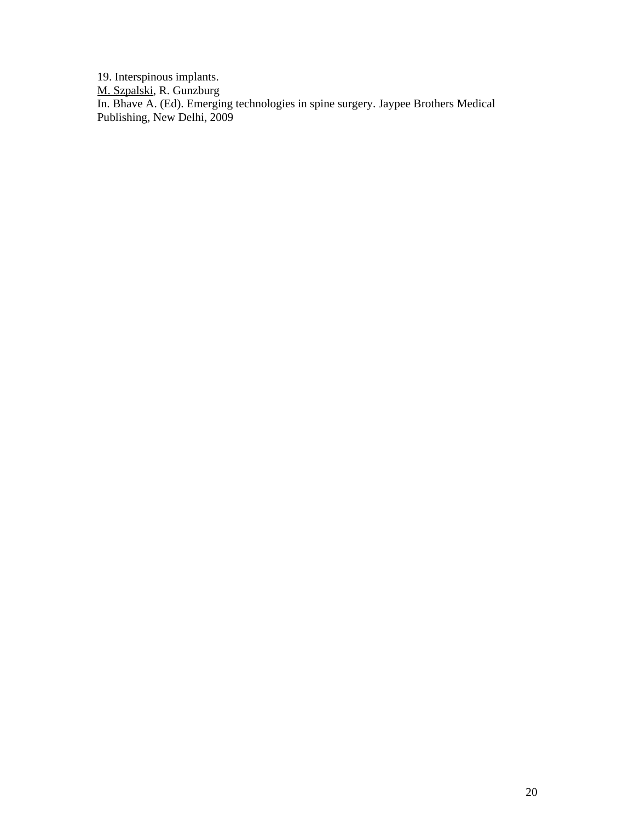19. Interspinous implants.

M. Szpalski, R. Gunzburg

In. Bhave A. (Ed). Emerging technologies in spine surgery. Jaypee Brothers Medical Publishing, New Delhi, 2009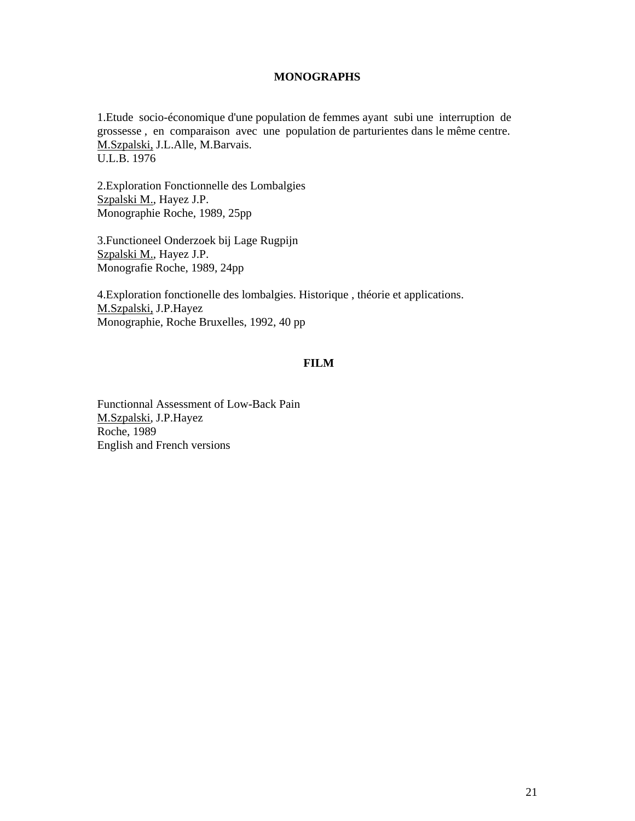## **MONOGRAPHS**

1.Etude socio-économique d'une population de femmes ayant subi une interruption de grossesse , en comparaison avec une population de parturientes dans le même centre. M.Szpalski, J.L.Alle, M.Barvais. U.L.B. 1976

2.Exploration Fonctionnelle des Lombalgies Szpalski M., Hayez J.P. Monographie Roche, 1989, 25pp

3.Functioneel Onderzoek bij Lage Rugpijn Szpalski M., Hayez J.P. Monografie Roche, 1989, 24pp

4.Exploration fonctionelle des lombalgies. Historique , théorie et applications. M.Szpalski, J.P.Hayez Monographie, Roche Bruxelles, 1992, 40 pp

# **FILM**

Functionnal Assessment of Low-Back Pain M.Szpalski, J.P.Hayez Roche, 1989 English and French versions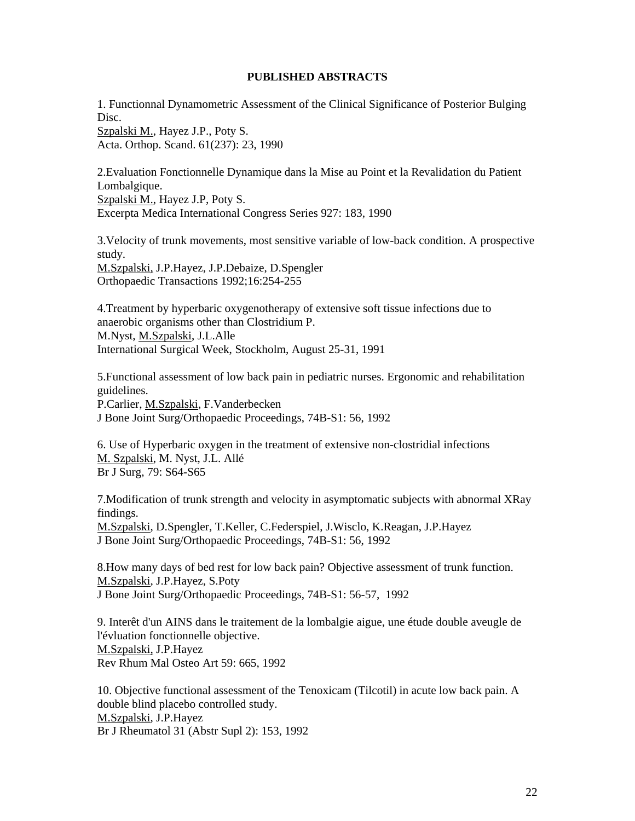# **PUBLISHED ABSTRACTS**

1. Functionnal Dynamometric Assessment of the Clinical Significance of Posterior Bulging Disc. Szpalski M., Hayez J.P., Poty S.

Acta. Orthop. Scand. 61(237): 23, 1990

2.Evaluation Fonctionnelle Dynamique dans la Mise au Point et la Revalidation du Patient Lombalgique. Szpalski M., Hayez J.P, Poty S. Excerpta Medica International Congress Series 927: 183, 1990

3.Velocity of trunk movements, most sensitive variable of low-back condition. A prospective study. M.Szpalski, J.P.Hayez, J.P.Debaize, D.Spengler Orthopaedic Transactions 1992;16:254-255

4.Treatment by hyperbaric oxygenotherapy of extensive soft tissue infections due to anaerobic organisms other than Clostridium P. M.Nyst, M.Szpalski, J.L.Alle International Surgical Week, Stockholm, August 25-31, 1991

5.Functional assessment of low back pain in pediatric nurses. Ergonomic and rehabilitation guidelines. P.Carlier, M.Szpalski, F.Vanderbecken J Bone Joint Surg/Orthopaedic Proceedings, 74B-S1: 56, 1992

6. Use of Hyperbaric oxygen in the treatment of extensive non-clostridial infections M. Szpalski, M. Nyst, J.L. Allé Br J Surg, 79: S64-S65

7.Modification of trunk strength and velocity in asymptomatic subjects with abnormal XRay findings.

M.Szpalski, D.Spengler, T.Keller, C.Federspiel, J.Wisclo, K.Reagan, J.P.Hayez J Bone Joint Surg/Orthopaedic Proceedings, 74B-S1: 56, 1992

8.How many days of bed rest for low back pain? Objective assessment of trunk function. M.Szpalski, J.P.Hayez, S.Poty J Bone Joint Surg/Orthopaedic Proceedings, 74B-S1: 56-57, 1992

9. Interêt d'un AINS dans le traitement de la lombalgie aigue, une étude double aveugle de l'évluation fonctionnelle objective. M.Szpalski, J.P.Hayez Rev Rhum Mal Osteo Art 59: 665, 1992

10. Objective functional assessment of the Tenoxicam (Tilcotil) in acute low back pain. A double blind placebo controlled study. M.Szpalski, J.P.Hayez Br J Rheumatol 31 (Abstr Supl 2): 153, 1992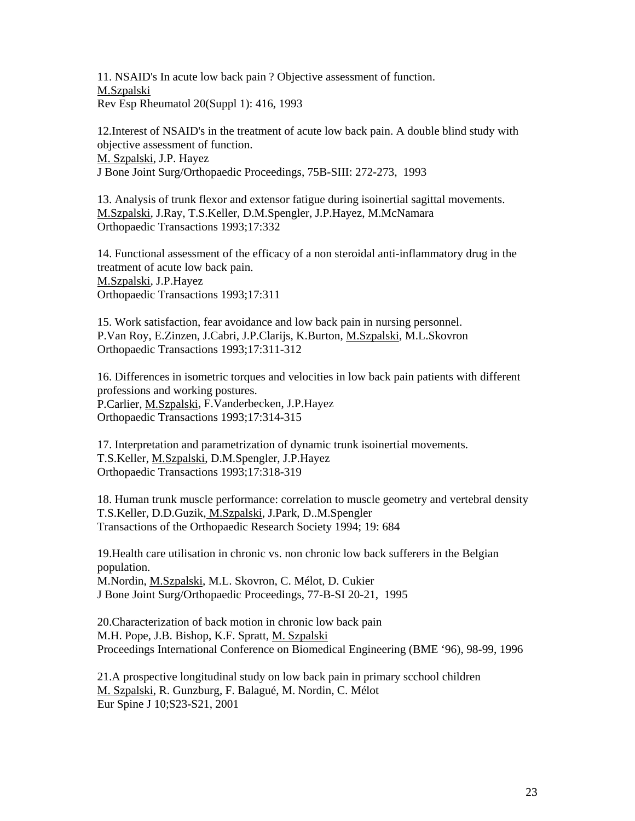11. NSAID's In acute low back pain ? Objective assessment of function. M.Szpalski Rev Esp Rheumatol 20(Suppl 1): 416, 1993

12.Interest of NSAID's in the treatment of acute low back pain. A double blind study with objective assessment of function. M. Szpalski, J.P. Hayez J Bone Joint Surg/Orthopaedic Proceedings, 75B-SIII: 272-273, 1993

13. Analysis of trunk flexor and extensor fatigue during isoinertial sagittal movements. M.Szpalski, J.Ray, T.S.Keller, D.M.Spengler, J.P.Hayez, M.McNamara Orthopaedic Transactions 1993;17:332

14. Functional assessment of the efficacy of a non steroidal anti-inflammatory drug in the treatment of acute low back pain. M.Szpalski, J.P.Hayez Orthopaedic Transactions 1993;17:311

15. Work satisfaction, fear avoidance and low back pain in nursing personnel. P.Van Roy, E.Zinzen, J.Cabri, J.P.Clarijs, K.Burton, M.Szpalski, M.L.Skovron Orthopaedic Transactions 1993;17:311-312

16. Differences in isometric torques and velocities in low back pain patients with different professions and working postures. P.Carlier, M.Szpalski, F.Vanderbecken, J.P.Hayez Orthopaedic Transactions 1993;17:314-315

17. Interpretation and parametrization of dynamic trunk isoinertial movements. T.S.Keller, M.Szpalski, D.M.Spengler, J.P.Hayez Orthopaedic Transactions 1993;17:318-319

18. Human trunk muscle performance: correlation to muscle geometry and vertebral density T.S.Keller, D.D.Guzik, M.Szpalski, J.Park, D..M.Spengler Transactions of the Orthopaedic Research Society 1994; 19: 684

19.Health care utilisation in chronic vs. non chronic low back sufferers in the Belgian population. M.Nordin, M.Szpalski, M.L. Skovron, C. Mélot, D. Cukier

J Bone Joint Surg/Orthopaedic Proceedings, 77-B-SI 20-21, 1995

20.Characterization of back motion in chronic low back pain M.H. Pope, J.B. Bishop, K.F. Spratt, M. Szpalski Proceedings International Conference on Biomedical Engineering (BME '96), 98-99, 1996

21.A prospective longitudinal study on low back pain in primary scchool children M. Szpalski, R. Gunzburg, F. Balagué, M. Nordin, C. Mélot Eur Spine J 10;S23-S21, 2001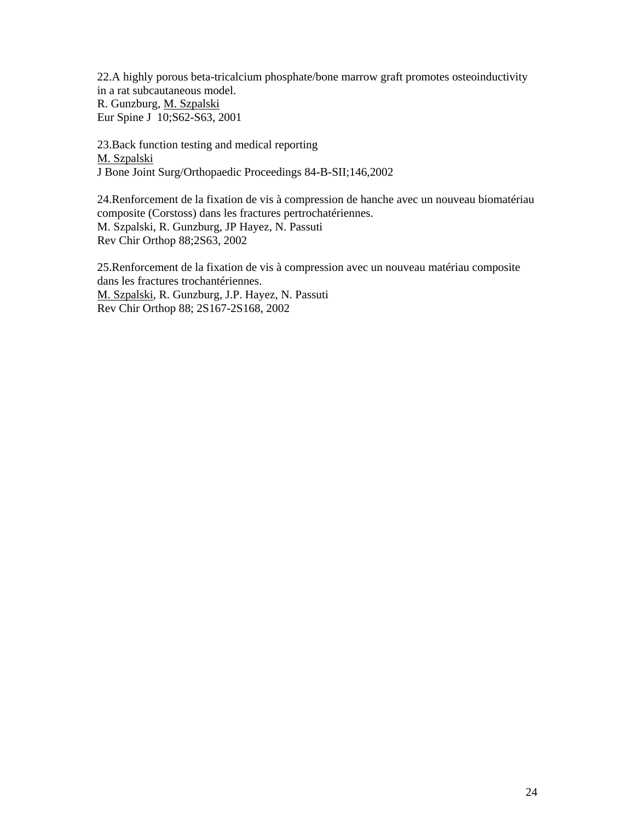22.A highly porous beta-tricalcium phosphate/bone marrow graft promotes osteoinductivity in a rat subcautaneous model.

R. Gunzburg, M. Szpalski Eur Spine J 10;S62-S63, 2001

23.Back function testing and medical reporting M. Szpalski J Bone Joint Surg/Orthopaedic Proceedings 84-B-SII;146,2002

24.Renforcement de la fixation de vis à compression de hanche avec un nouveau biomatériau composite (Corstoss) dans les fractures pertrochatériennes. M. Szpalski, R. Gunzburg, JP Hayez, N. Passuti Rev Chir Orthop 88;2S63, 2002

25.Renforcement de la fixation de vis à compression avec un nouveau matériau composite dans les fractures trochantériennes. M. Szpalski, R. Gunzburg, J.P. Hayez, N. Passuti Rev Chir Orthop 88; 2S167-2S168, 2002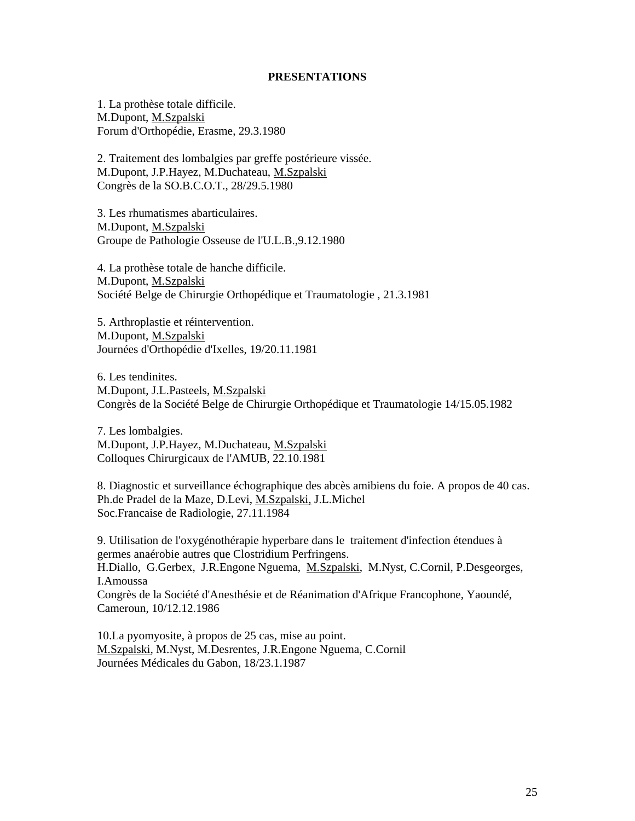### **PRESENTATIONS**

1. La prothèse totale difficile. M.Dupont, M.Szpalski Forum d'Orthopédie, Erasme, 29.3.1980

2. Traitement des lombalgies par greffe postérieure vissée. M.Dupont, J.P.Hayez, M.Duchateau, M.Szpalski Congrès de la SO.B.C.O.T., 28/29.5.1980

3. Les rhumatismes abarticulaires. M.Dupont, M.Szpalski Groupe de Pathologie Osseuse de l'U.L.B.,9.12.1980

4. La prothèse totale de hanche difficile. M.Dupont, M.Szpalski Société Belge de Chirurgie Orthopédique et Traumatologie , 21.3.1981

5. Arthroplastie et réintervention. M.Dupont, M.Szpalski Journées d'Orthopédie d'Ixelles, 19/20.11.1981

6. Les tendinites. M.Dupont, J.L.Pasteels, M.Szpalski Congrès de la Société Belge de Chirurgie Orthopédique et Traumatologie 14/15.05.1982

7. Les lombalgies. M.Dupont, J.P.Hayez, M.Duchateau, M.Szpalski Colloques Chirurgicaux de l'AMUB, 22.10.1981

8. Diagnostic et surveillance échographique des abcès amibiens du foie. A propos de 40 cas. Ph.de Pradel de la Maze, D.Levi, M.Szpalski, J.L.Michel Soc.Francaise de Radiologie, 27.11.1984

9. Utilisation de l'oxygénothérapie hyperbare dans le traitement d'infection étendues à germes anaérobie autres que Clostridium Perfringens. H.Diallo, G.Gerbex, J.R.Engone Nguema, M.Szpalski, M.Nyst, C.Cornil, P.Desgeorges, I.Amoussa Congrès de la Société d'Anesthésie et de Réanimation d'Afrique Francophone, Yaoundé, Cameroun, 10/12.12.1986

10.La pyomyosite, à propos de 25 cas, mise au point. M.Szpalski, M.Nyst, M.Desrentes, J.R.Engone Nguema, C.Cornil Journées Médicales du Gabon, 18/23.1.1987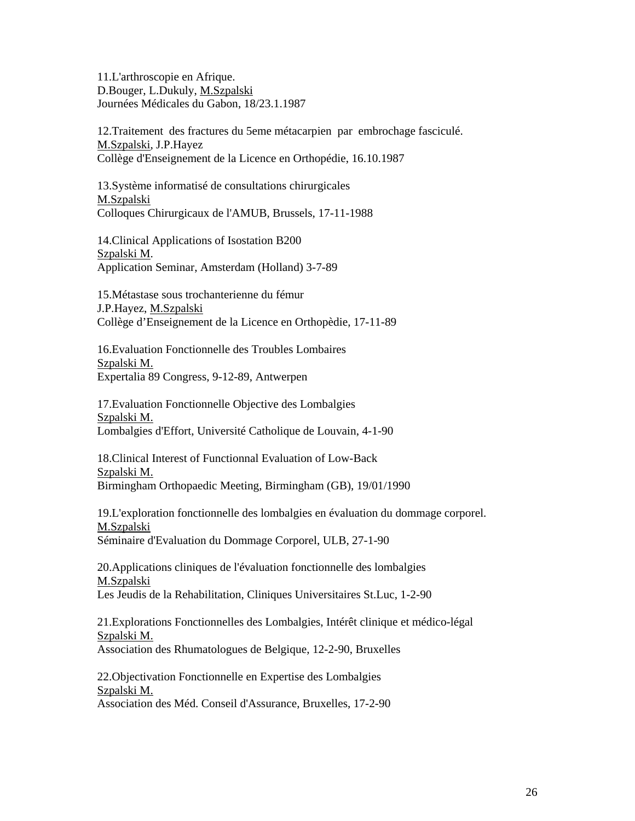11.L'arthroscopie en Afrique. D.Bouger, L.Dukuly, M.Szpalski Journées Médicales du Gabon, 18/23.1.1987

12.Traitement des fractures du 5eme métacarpien par embrochage fasciculé. M.Szpalski, J.P.Hayez Collège d'Enseignement de la Licence en Orthopédie, 16.10.1987

13.Système informatisé de consultations chirurgicales M.Szpalski Colloques Chirurgicaux de l'AMUB, Brussels, 17-11-1988

14.Clinical Applications of Isostation B200 Szpalski M. Application Seminar, Amsterdam (Holland) 3-7-89

15.Métastase sous trochanterienne du fémur J.P.Hayez, M.Szpalski Collège d'Enseignement de la Licence en Orthopèdie, 17-11-89

16.Evaluation Fonctionnelle des Troubles Lombaires Szpalski M. Expertalia 89 Congress, 9-12-89, Antwerpen

17.Evaluation Fonctionnelle Objective des Lombalgies Szpalski M. Lombalgies d'Effort, Université Catholique de Louvain, 4-1-90

18.Clinical Interest of Functionnal Evaluation of Low-Back Szpalski M. Birmingham Orthopaedic Meeting, Birmingham (GB), 19/01/1990

19.L'exploration fonctionnelle des lombalgies en évaluation du dommage corporel. M.Szpalski Séminaire d'Evaluation du Dommage Corporel, ULB, 27-1-90

20.Applications cliniques de l'évaluation fonctionnelle des lombalgies M.Szpalski Les Jeudis de la Rehabilitation, Cliniques Universitaires St.Luc, 1-2-90

21.Explorations Fonctionnelles des Lombalgies, Intérêt clinique et médico-légal Szpalski M. Association des Rhumatologues de Belgique, 12-2-90, Bruxelles

22.Objectivation Fonctionnelle en Expertise des Lombalgies Szpalski M. Association des Méd. Conseil d'Assurance, Bruxelles, 17-2-90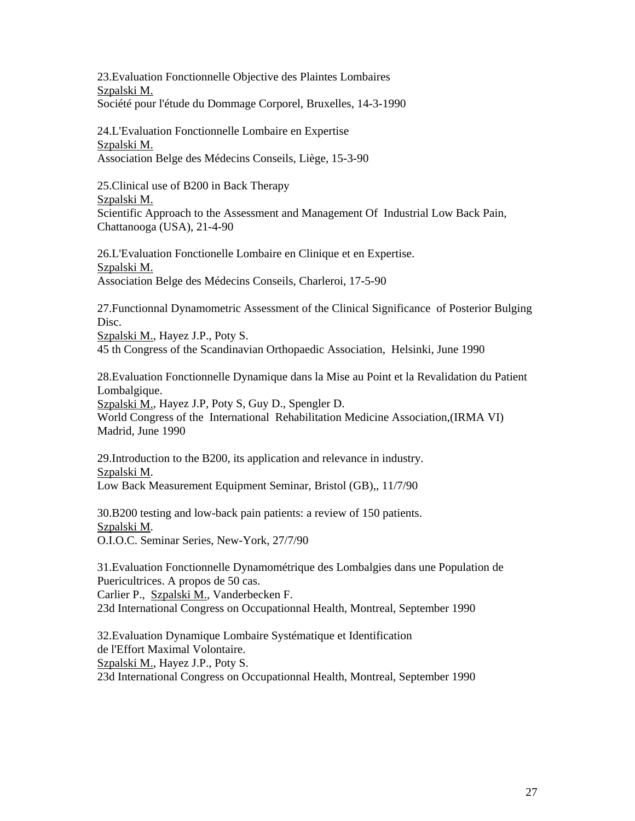23.Evaluation Fonctionnelle Objective des Plaintes Lombaires Szpalski M. Société pour l'étude du Dommage Corporel, Bruxelles, 14-3-1990

24.L'Evaluation Fonctionnelle Lombaire en Expertise Szpalski M. Association Belge des Médecins Conseils, Liège, 15-3-90

25.Clinical use of B200 in Back Therapy Szpalski M. Scientific Approach to the Assessment and Management Of Industrial Low Back Pain, Chattanooga (USA), 21-4-90

26.L'Evaluation Fonctionelle Lombaire en Clinique et en Expertise. Szpalski M. Association Belge des Médecins Conseils, Charleroi, 17-5-90

27.Functionnal Dynamometric Assessment of the Clinical Significance of Posterior Bulging Disc.

Szpalski M., Hayez J.P., Poty S.

45 th Congress of the Scandinavian Orthopaedic Association, Helsinki, June 1990

28.Evaluation Fonctionnelle Dynamique dans la Mise au Point et la Revalidation du Patient Lombalgique.

Szpalski M., Hayez J.P, Poty S, Guy D., Spengler D.

World Congress of the International Rehabilitation Medicine Association,(IRMA VI) Madrid, June 1990

29.Introduction to the B200, its application and relevance in industry. Szpalski M. Low Back Measurement Equipment Seminar, Bristol (GB),, 11/7/90

30.B200 testing and low-back pain patients: a review of 150 patients. Szpalski M. O.I.O.C. Seminar Series, New-York, 27/7/90

31.Evaluation Fonctionnelle Dynamométrique des Lombalgies dans une Population de Puericultrices. A propos de 50 cas. Carlier P., Szpalski M., Vanderbecken F.

23d International Congress on Occupationnal Health, Montreal, September 1990

32.Evaluation Dynamique Lombaire Systématique et Identification de l'Effort Maximal Volontaire. Szpalski M., Hayez J.P., Poty S. 23d International Congress on Occupationnal Health, Montreal, September 1990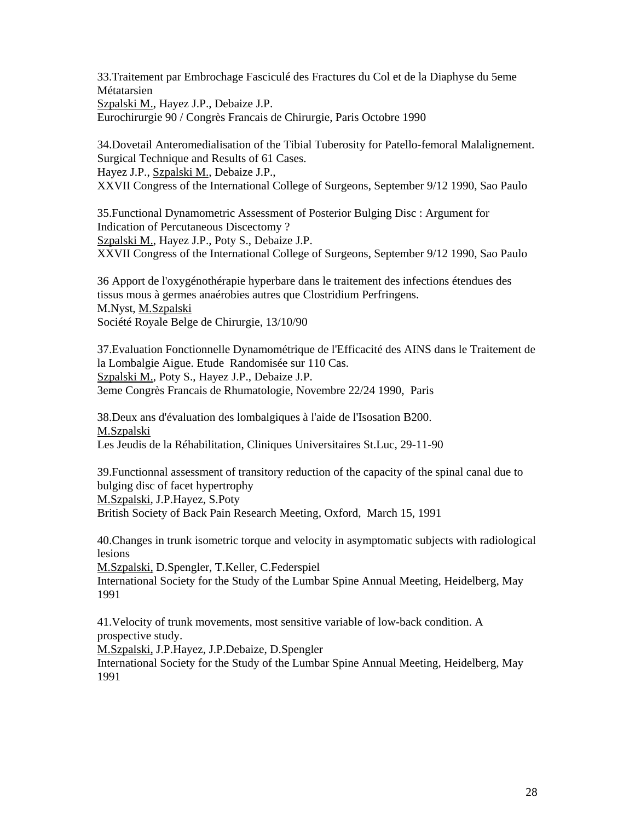33.Traitement par Embrochage Fasciculé des Fractures du Col et de la Diaphyse du 5eme Métatarsien Szpalski M., Hayez J.P., Debaize J.P. Eurochirurgie 90 / Congrès Francais de Chirurgie, Paris Octobre 1990

34.Dovetail Anteromedialisation of the Tibial Tuberosity for Patello-femoral Malalignement. Surgical Technique and Results of 61 Cases. Hayez J.P., Szpalski M., Debaize J.P., XXVII Congress of the International College of Surgeons, September 9/12 1990, Sao Paulo

35.Functional Dynamometric Assessment of Posterior Bulging Disc : Argument for Indication of Percutaneous Discectomy ? Szpalski M., Hayez J.P., Poty S., Debaize J.P. XXVII Congress of the International College of Surgeons, September 9/12 1990, Sao Paulo

36 Apport de l'oxygénothérapie hyperbare dans le traitement des infections étendues des tissus mous à germes anaérobies autres que Clostridium Perfringens. M.Nyst, M.Szpalski Société Royale Belge de Chirurgie, 13/10/90

37.Evaluation Fonctionnelle Dynamométrique de l'Efficacité des AINS dans le Traitement de la Lombalgie Aigue. Etude Randomisée sur 110 Cas. Szpalski M., Poty S., Hayez J.P., Debaize J.P. 3eme Congrès Francais de Rhumatologie, Novembre 22/24 1990, Paris

38.Deux ans d'évaluation des lombalgiques à l'aide de l'Isosation B200. M.Szpalski Les Jeudis de la Réhabilitation, Cliniques Universitaires St.Luc, 29-11-90

39.Functionnal assessment of transitory reduction of the capacity of the spinal canal due to bulging disc of facet hypertrophy M.Szpalski, J.P.Hayez, S.Poty British Society of Back Pain Research Meeting, Oxford, March 15, 1991

40.Changes in trunk isometric torque and velocity in asymptomatic subjects with radiological lesions

M.Szpalski, D.Spengler, T.Keller, C.Federspiel International Society for the Study of the Lumbar Spine Annual Meeting, Heidelberg, May 1991

41.Velocity of trunk movements, most sensitive variable of low-back condition. A prospective study.

M.Szpalski, J.P.Hayez, J.P.Debaize, D.Spengler

International Society for the Study of the Lumbar Spine Annual Meeting, Heidelberg, May 1991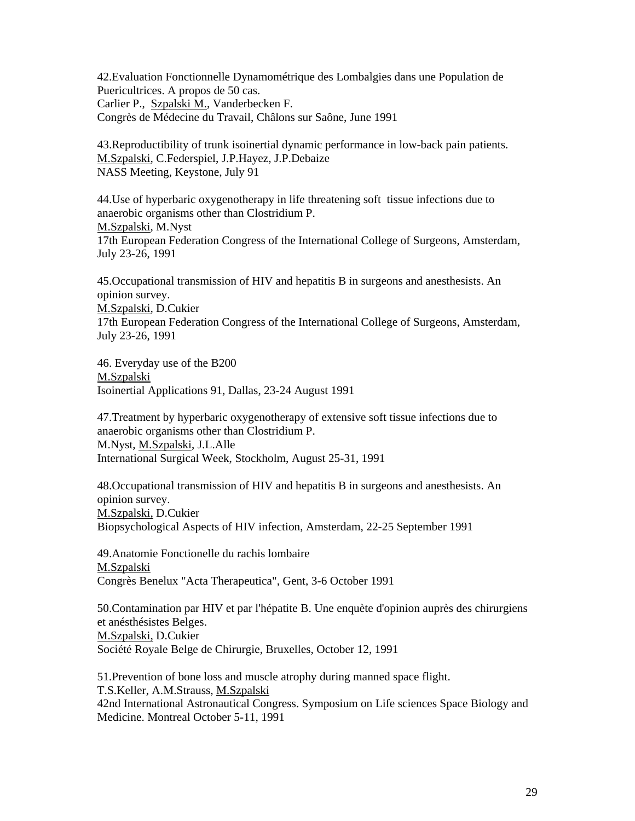42.Evaluation Fonctionnelle Dynamométrique des Lombalgies dans une Population de Puericultrices. A propos de 50 cas. Carlier P., Szpalski M., Vanderbecken F. Congrès de Médecine du Travail, Châlons sur Saône, June 1991

43.Reproductibility of trunk isoinertial dynamic performance in low-back pain patients. M.Szpalski, C.Federspiel, J.P.Hayez, J.P.Debaize NASS Meeting, Keystone, July 91

44.Use of hyperbaric oxygenotherapy in life threatening soft tissue infections due to anaerobic organisms other than Clostridium P. M.Szpalski, M.Nyst 17th European Federation Congress of the International College of Surgeons, Amsterdam, July 23-26, 1991

45.Occupational transmission of HIV and hepatitis B in surgeons and anesthesists. An opinion survey.

M.Szpalski, D.Cukier

17th European Federation Congress of the International College of Surgeons, Amsterdam, July 23-26, 1991

46. Everyday use of the B200 M.Szpalski Isoinertial Applications 91, Dallas, 23-24 August 1991

47.Treatment by hyperbaric oxygenotherapy of extensive soft tissue infections due to anaerobic organisms other than Clostridium P. M.Nyst, M.Szpalski, J.L.Alle International Surgical Week, Stockholm, August 25-31, 1991

48.Occupational transmission of HIV and hepatitis B in surgeons and anesthesists. An opinion survey. M.Szpalski, D.Cukier Biopsychological Aspects of HIV infection, Amsterdam, 22-25 September 1991

49.Anatomie Fonctionelle du rachis lombaire M.Szpalski Congrès Benelux "Acta Therapeutica", Gent, 3-6 October 1991

50.Contamination par HIV et par l'hépatite B. Une enquète d'opinion auprès des chirurgiens et anésthésistes Belges. M.Szpalski, D.Cukier Société Royale Belge de Chirurgie, Bruxelles, October 12, 1991

51.Prevention of bone loss and muscle atrophy during manned space flight. T.S.Keller, A.M.Strauss, M.Szpalski 42nd International Astronautical Congress. Symposium on Life sciences Space Biology and Medicine. Montreal October 5-11, 1991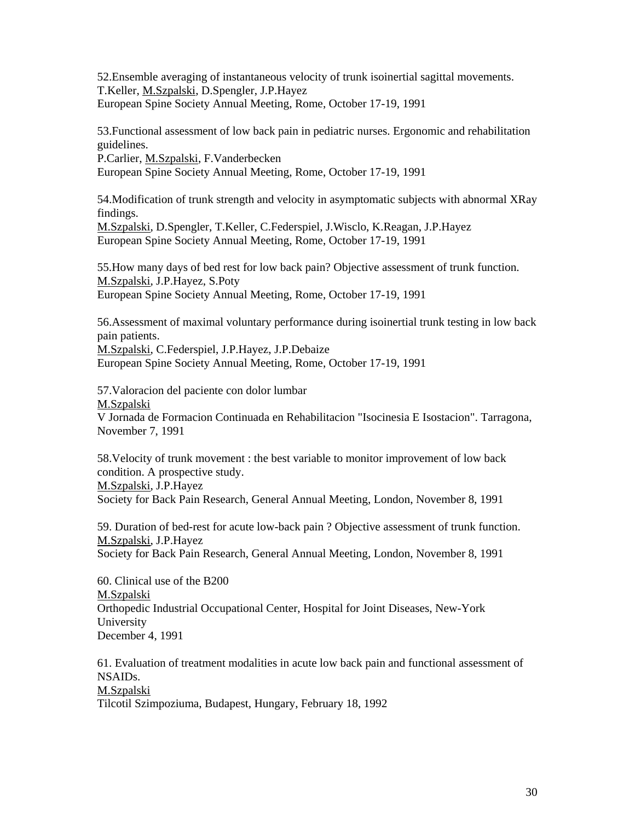52.Ensemble averaging of instantaneous velocity of trunk isoinertial sagittal movements. T.Keller, M.Szpalski, D.Spengler, J.P.Hayez European Spine Society Annual Meeting, Rome, October 17-19, 1991

53.Functional assessment of low back pain in pediatric nurses. Ergonomic and rehabilitation guidelines.

P.Carlier, M.Szpalski, F.Vanderbecken

European Spine Society Annual Meeting, Rome, October 17-19, 1991

54.Modification of trunk strength and velocity in asymptomatic subjects with abnormal XRay findings.

M.Szpalski, D.Spengler, T.Keller, C.Federspiel, J.Wisclo, K.Reagan, J.P.Hayez European Spine Society Annual Meeting, Rome, October 17-19, 1991

55.How many days of bed rest for low back pain? Objective assessment of trunk function. M.Szpalski, J.P.Hayez, S.Poty European Spine Society Annual Meeting, Rome, October 17-19, 1991

56.Assessment of maximal voluntary performance during isoinertial trunk testing in low back pain patients.

M.Szpalski, C.Federspiel, J.P.Hayez, J.P.Debaize European Spine Society Annual Meeting, Rome, October 17-19, 1991

57.Valoracion del paciente con dolor lumbar M.Szpalski

V Jornada de Formacion Continuada en Rehabilitacion "Isocinesia E Isostacion". Tarragona, November 7, 1991

58.Velocity of trunk movement : the best variable to monitor improvement of low back condition. A prospective study. M.Szpalski, J.P.Hayez

Society for Back Pain Research, General Annual Meeting, London, November 8, 1991

59. Duration of bed-rest for acute low-back pain ? Objective assessment of trunk function. M.Szpalski, J.P.Hayez Society for Back Pain Research, General Annual Meeting, London, November 8, 1991

60. Clinical use of the B200 M.Szpalski Orthopedic Industrial Occupational Center, Hospital for Joint Diseases, New-York University December 4, 1991

61. Evaluation of treatment modalities in acute low back pain and functional assessment of NSAIDs. M.Szpalski

Tilcotil Szimpoziuma, Budapest, Hungary, February 18, 1992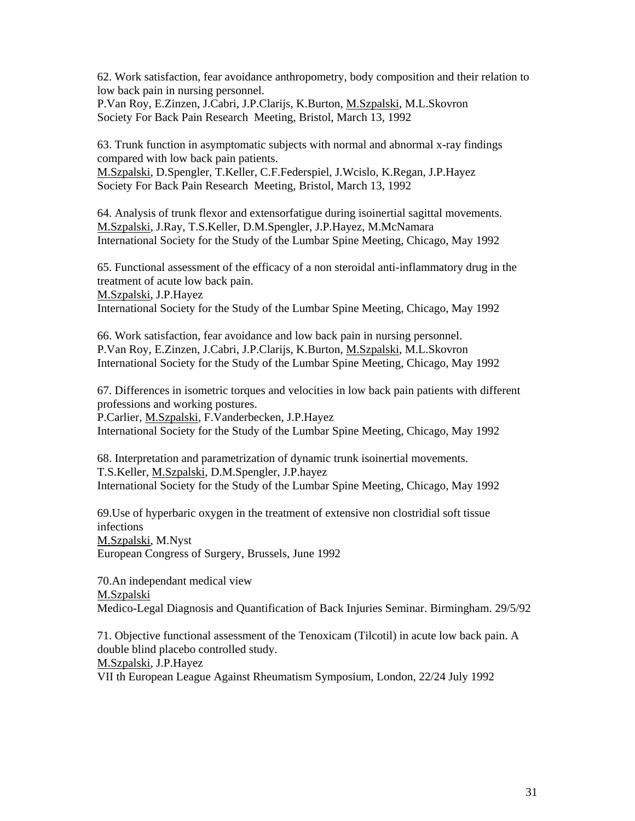62. Work satisfaction, fear avoidance anthropometry, body composition and their relation to low back pain in nursing personnel.

P.Van Roy, E.Zinzen, J.Cabri, J.P.Clarijs, K.Burton, M.Szpalski, M.L.Skovron Society For Back Pain Research Meeting, Bristol, March 13, 1992

63. Trunk function in asymptomatic subjects with normal and abnormal x-ray findings compared with low back pain patients.

M.Szpalski, D.Spengler, T.Keller, C.F.Federspiel, J.Wcislo, K.Regan, J.P.Hayez Society For Back Pain Research Meeting, Bristol, March 13, 1992

64. Analysis of trunk flexor and extensorfatigue during isoinertial sagittal movements. M.Szpalski, J.Ray, T.S.Keller, D.M.Spengler, J.P.Hayez, M.McNamara International Society for the Study of the Lumbar Spine Meeting, Chicago, May 1992

65. Functional assessment of the efficacy of a non steroidal anti-inflammatory drug in the treatment of acute low back pain. M.Szpalski, J.P.Hayez

International Society for the Study of the Lumbar Spine Meeting, Chicago, May 1992

66. Work satisfaction, fear avoidance and low back pain in nursing personnel. P.Van Roy, E.Zinzen, J.Cabri, J.P.Clarijs, K.Burton, M.Szpalski, M.L.Skovron International Society for the Study of the Lumbar Spine Meeting, Chicago, May 1992

67. Differences in isometric torques and velocities in low back pain patients with different professions and working postures.

P.Carlier, M.Szpalski, F.Vanderbecken, J.P.Hayez

International Society for the Study of the Lumbar Spine Meeting, Chicago, May 1992

68. Interpretation and parametrization of dynamic trunk isoinertial movements. T.S.Keller, M.Szpalski, D.M.Spengler, J.P.hayez International Society for the Study of the Lumbar Spine Meeting, Chicago, May 1992

69.Use of hyperbaric oxygen in the treatment of extensive non clostridial soft tissue infections M.Szpalski, M.Nyst European Congress of Surgery, Brussels, June 1992

70.An independant medical view M.Szpalski Medico-Legal Diagnosis and Quantification of Back Injuries Seminar. Birmingham. 29/5/92

71. Objective functional assessment of the Tenoxicam (Tilcotil) in acute low back pain. A double blind placebo controlled study. M.Szpalski, J.P.Hayez

VII th European League Against Rheumatism Symposium, London, 22/24 July 1992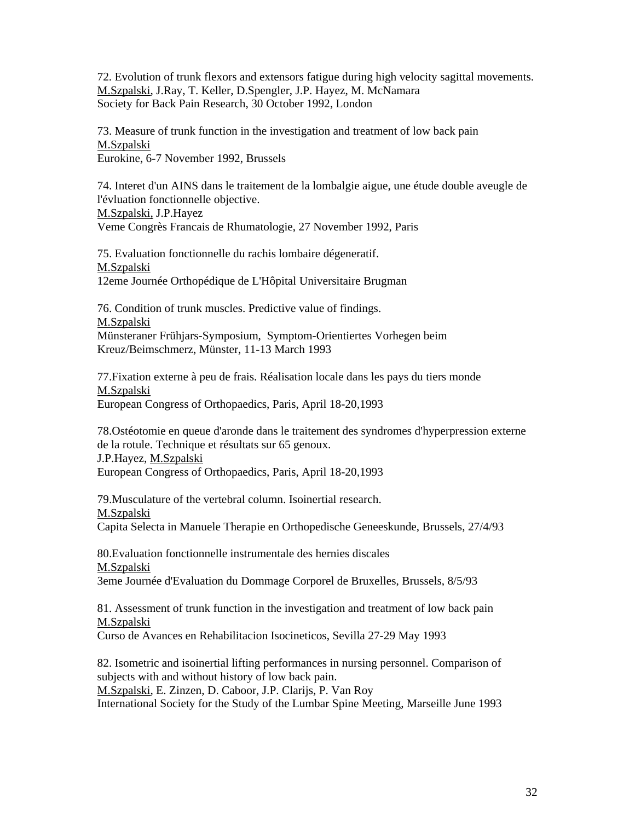72. Evolution of trunk flexors and extensors fatigue during high velocity sagittal movements. M.Szpalski, J.Ray, T. Keller, D.Spengler, J.P. Hayez, M. McNamara Society for Back Pain Research, 30 October 1992, London

73. Measure of trunk function in the investigation and treatment of low back pain M.Szpalski Eurokine, 6-7 November 1992, Brussels

74. Interet d'un AINS dans le traitement de la lombalgie aigue, une étude double aveugle de l'évluation fonctionnelle objective. M.Szpalski, J.P.Hayez Veme Congrès Francais de Rhumatologie, 27 November 1992, Paris

75. Evaluation fonctionnelle du rachis lombaire dégeneratif. M.Szpalski 12eme Journée Orthopédique de L'Hôpital Universitaire Brugman

76. Condition of trunk muscles. Predictive value of findings. M.Szpalski Münsteraner Frühjars-Symposium, Symptom-Orientiertes Vorhegen beim Kreuz/Beimschmerz, Münster, 11-13 March 1993

77.Fixation externe à peu de frais. Réalisation locale dans les pays du tiers monde M.Szpalski European Congress of Orthopaedics, Paris, April 18-20,1993

78.Ostéotomie en queue d'aronde dans le traitement des syndromes d'hyperpression externe de la rotule. Technique et résultats sur 65 genoux. J.P.Hayez, M.Szpalski European Congress of Orthopaedics, Paris, April 18-20,1993

79.Musculature of the vertebral column. Isoinertial research. M.Szpalski Capita Selecta in Manuele Therapie en Orthopedische Geneeskunde, Brussels, 27/4/93

80.Evaluation fonctionnelle instrumentale des hernies discales M.Szpalski 3eme Journée d'Evaluation du Dommage Corporel de Bruxelles, Brussels, 8/5/93

81. Assessment of trunk function in the investigation and treatment of low back pain M.Szpalski

Curso de Avances en Rehabilitacion Isocineticos, Sevilla 27-29 May 1993

82. Isometric and isoinertial lifting performances in nursing personnel. Comparison of subjects with and without history of low back pain.

M.Szpalski, E. Zinzen, D. Caboor, J.P. Clarijs, P. Van Roy

International Society for the Study of the Lumbar Spine Meeting, Marseille June 1993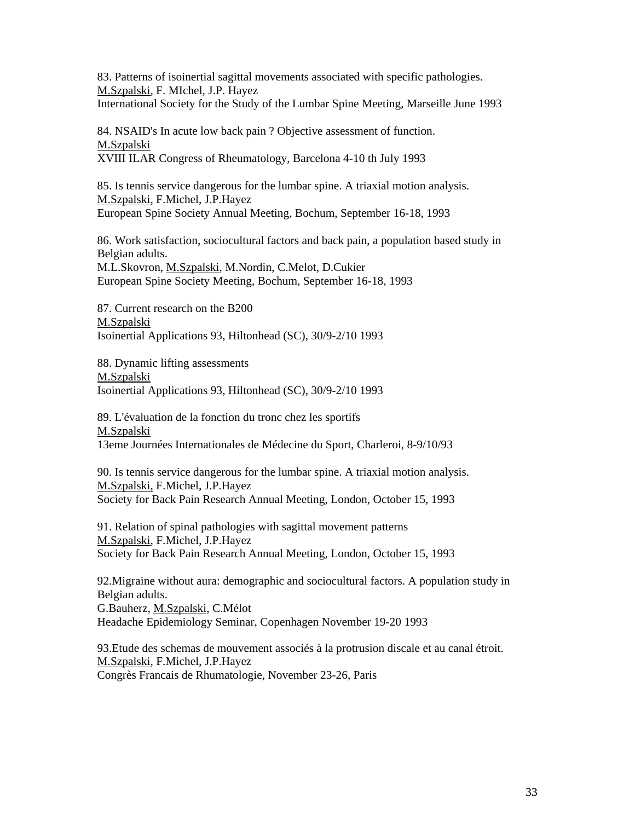83. Patterns of isoinertial sagittal movements associated with specific pathologies. M.Szpalski, F. MIchel, J.P. Hayez International Society for the Study of the Lumbar Spine Meeting, Marseille June 1993

84. NSAID's In acute low back pain ? Objective assessment of function. M.Szpalski XVIII ILAR Congress of Rheumatology, Barcelona 4-10 th July 1993

85. Is tennis service dangerous for the lumbar spine. A triaxial motion analysis. M.Szpalski, F.Michel, J.P.Hayez European Spine Society Annual Meeting, Bochum, September 16-18, 1993

86. Work satisfaction, sociocultural factors and back pain, a population based study in Belgian adults. M.L.Skovron, M.Szpalski, M.Nordin, C.Melot, D.Cukier European Spine Society Meeting, Bochum, September 16-18, 1993

87. Current research on the B200 M.Szpalski Isoinertial Applications 93, Hiltonhead (SC), 30/9-2/10 1993

88. Dynamic lifting assessments M.Szpalski Isoinertial Applications 93, Hiltonhead (SC), 30/9-2/10 1993

89. L'évaluation de la fonction du tronc chez les sportifs M.Szpalski 13eme Journées Internationales de Médecine du Sport, Charleroi, 8-9/10/93

90. Is tennis service dangerous for the lumbar spine. A triaxial motion analysis. M.Szpalski, F.Michel, J.P.Hayez Society for Back Pain Research Annual Meeting, London, October 15, 1993

91. Relation of spinal pathologies with sagittal movement patterns M.Szpalski, F.Michel, J.P.Hayez Society for Back Pain Research Annual Meeting, London, October 15, 1993

92.Migraine without aura: demographic and sociocultural factors. A population study in Belgian adults. G.Bauherz, M.Szpalski, C.Mélot Headache Epidemiology Seminar, Copenhagen November 19-20 1993

93.Etude des schemas de mouvement associés à la protrusion discale et au canal étroit. M.Szpalski, F.Michel, J.P.Hayez Congrès Francais de Rhumatologie, November 23-26, Paris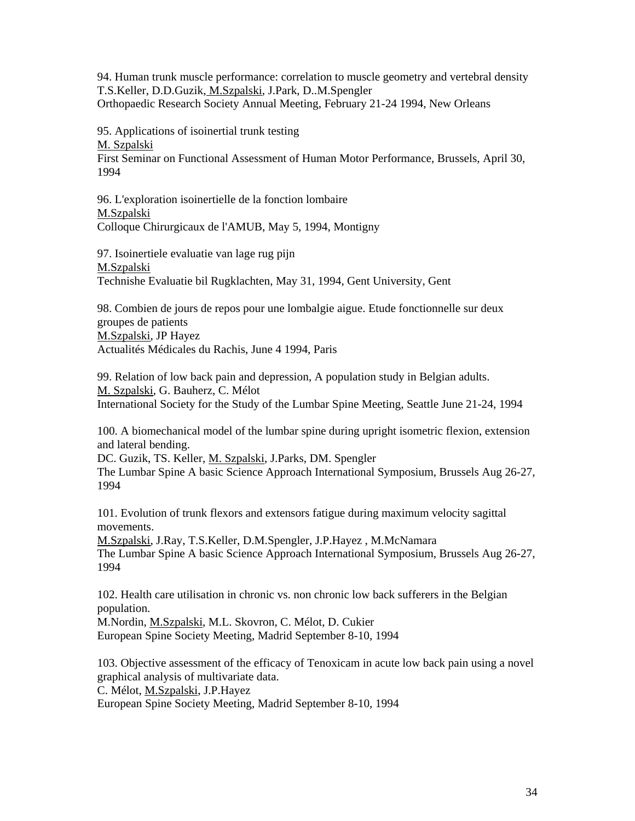94. Human trunk muscle performance: correlation to muscle geometry and vertebral density T.S.Keller, D.D.Guzik, M.Szpalski, J.Park, D..M.Spengler Orthopaedic Research Society Annual Meeting, February 21-24 1994, New Orleans

95. Applications of isoinertial trunk testing M. Szpalski First Seminar on Functional Assessment of Human Motor Performance, Brussels, April 30, 1994

96. L'exploration isoinertielle de la fonction lombaire M.Szpalski Colloque Chirurgicaux de l'AMUB, May 5, 1994, Montigny

97. Isoinertiele evaluatie van lage rug pijn M.Szpalski Technishe Evaluatie bil Rugklachten, May 31, 1994, Gent University, Gent

98. Combien de jours de repos pour une lombalgie aigue. Etude fonctionnelle sur deux groupes de patients M.Szpalski, JP Hayez Actualités Médicales du Rachis, June 4 1994, Paris

99. Relation of low back pain and depression, A population study in Belgian adults. M. Szpalski, G. Bauherz, C. Mélot International Society for the Study of the Lumbar Spine Meeting, Seattle June 21-24, 1994

100. A biomechanical model of the lumbar spine during upright isometric flexion, extension and lateral bending.

DC. Guzik, TS. Keller, M. Szpalski, J.Parks, DM. Spengler The Lumbar Spine A basic Science Approach International Symposium, Brussels Aug 26-27, 1994

101. Evolution of trunk flexors and extensors fatigue during maximum velocity sagittal movements.

M.Szpalski, J.Ray, T.S.Keller, D.M.Spengler, J.P.Hayez , M.McNamara The Lumbar Spine A basic Science Approach International Symposium, Brussels Aug 26-27, 1994

102. Health care utilisation in chronic vs. non chronic low back sufferers in the Belgian population.

M.Nordin, M.Szpalski, M.L. Skovron, C. Mélot, D. Cukier European Spine Society Meeting, Madrid September 8-10, 1994

103. Objective assessment of the efficacy of Tenoxicam in acute low back pain using a novel graphical analysis of multivariate data.

C. Mélot, M.Szpalski, J.P.Hayez

European Spine Society Meeting, Madrid September 8-10, 1994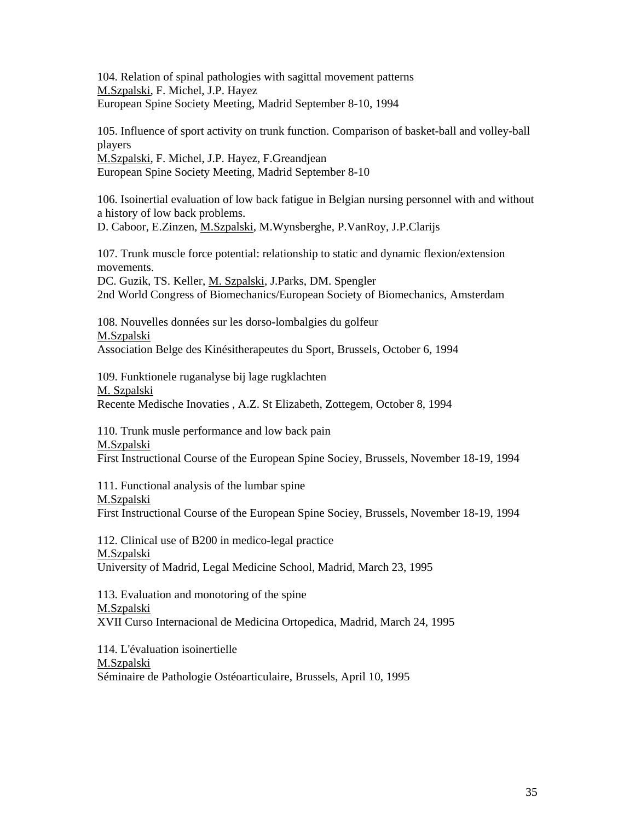104. Relation of spinal pathologies with sagittal movement patterns M.Szpalski, F. Michel, J.P. Hayez European Spine Society Meeting, Madrid September 8-10, 1994

105. Influence of sport activity on trunk function. Comparison of basket-ball and volley-ball players M.Szpalski, F. Michel, J.P. Hayez, F.Greandjean

European Spine Society Meeting, Madrid September 8-10

106. Isoinertial evaluation of low back fatigue in Belgian nursing personnel with and without a history of low back problems.

D. Caboor, E.Zinzen, M.Szpalski, M.Wynsberghe, P.VanRoy, J.P.Clarijs

107. Trunk muscle force potential: relationship to static and dynamic flexion/extension movements.

DC. Guzik, TS. Keller, M. Szpalski, J.Parks, DM. Spengler 2nd World Congress of Biomechanics/European Society of Biomechanics, Amsterdam

108. Nouvelles données sur les dorso-lombalgies du golfeur M.Szpalski Association Belge des Kinésitherapeutes du Sport, Brussels, October 6, 1994

109. Funktionele ruganalyse bij lage rugklachten M. Szpalski Recente Medische Inovaties , A.Z. St Elizabeth, Zottegem, October 8, 1994

110. Trunk musle performance and low back pain M.Szpalski First Instructional Course of the European Spine Sociey, Brussels, November 18-19, 1994

111. Functional analysis of the lumbar spine M.Szpalski First Instructional Course of the European Spine Sociey, Brussels, November 18-19, 1994

112. Clinical use of B200 in medico-legal practice M.Szpalski University of Madrid, Legal Medicine School, Madrid, March 23, 1995

113. Evaluation and monotoring of the spine M.Szpalski XVII Curso Internacional de Medicina Ortopedica, Madrid, March 24, 1995

114. L'évaluation isoinertielle M.Szpalski Séminaire de Pathologie Ostéoarticulaire, Brussels, April 10, 1995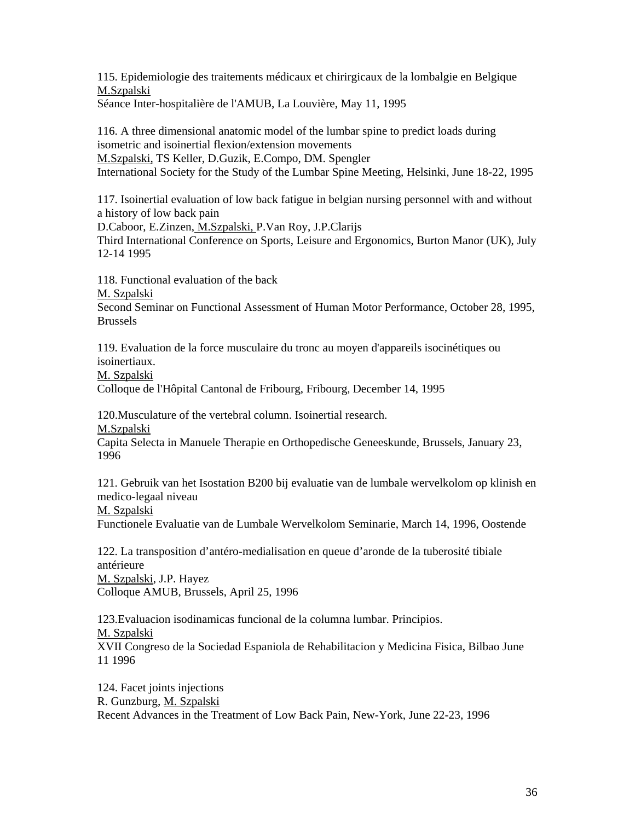115. Epidemiologie des traitements médicaux et chirirgicaux de la lombalgie en Belgique M.Szpalski

Séance Inter-hospitalière de l'AMUB, La Louvière, May 11, 1995

116. A three dimensional anatomic model of the lumbar spine to predict loads during isometric and isoinertial flexion/extension movements M.Szpalski, TS Keller, D.Guzik, E.Compo, DM. Spengler International Society for the Study of the Lumbar Spine Meeting, Helsinki, June 18-22, 1995

117. Isoinertial evaluation of low back fatigue in belgian nursing personnel with and without a history of low back pain

D.Caboor, E.Zinzen, M.Szpalski, P.Van Roy, J.P.Clarijs

Third International Conference on Sports, Leisure and Ergonomics, Burton Manor (UK), July 12-14 1995

118. Functional evaluation of the back M. Szpalski Second Seminar on Functional Assessment of Human Motor Performance, October 28, 1995, Brussels

119. Evaluation de la force musculaire du tronc au moyen d'appareils isocinétiques ou isoinertiaux.

M. Szpalski

Colloque de l'Hôpital Cantonal de Fribourg, Fribourg, December 14, 1995

120.Musculature of the vertebral column. Isoinertial research.

M.Szpalski

Capita Selecta in Manuele Therapie en Orthopedische Geneeskunde, Brussels, January 23, 1996

121. Gebruik van het Isostation B200 bij evaluatie van de lumbale wervelkolom op klinish en medico-legaal niveau

M. Szpalski

Functionele Evaluatie van de Lumbale Wervelkolom Seminarie, March 14, 1996, Oostende

122. La transposition d'antéro-medialisation en queue d'aronde de la tuberosité tibiale antérieure M. Szpalski, J.P. Hayez

Colloque AMUB, Brussels, April 25, 1996

123.Evaluacion isodinamicas funcional de la columna lumbar. Principios. M. Szpalski XVII Congreso de la Sociedad Espaniola de Rehabilitacion y Medicina Fisica, Bilbao June 11 1996

124. Facet joints injections R. Gunzburg, M. Szpalski Recent Advances in the Treatment of Low Back Pain, New-York, June 22-23, 1996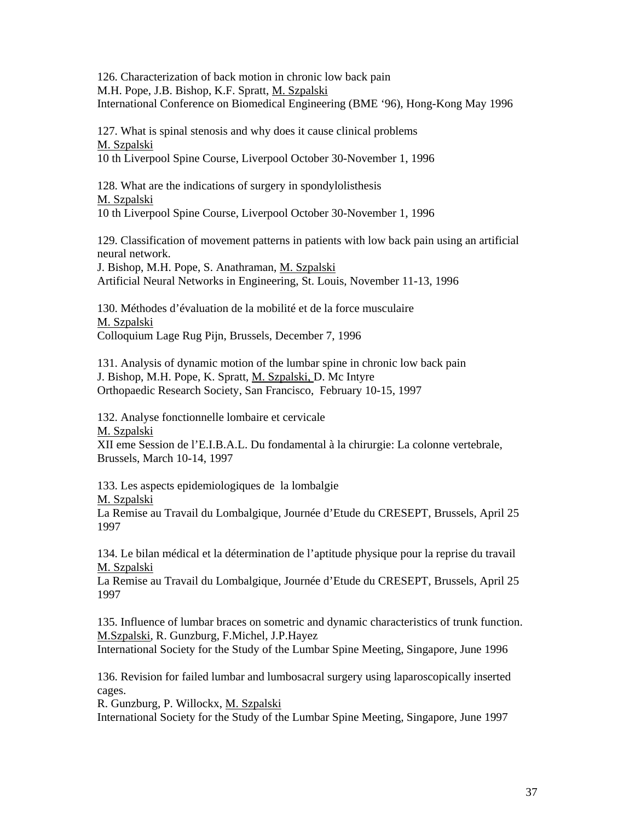126. Characterization of back motion in chronic low back pain M.H. Pope, J.B. Bishop, K.F. Spratt, M. Szpalski International Conference on Biomedical Engineering (BME '96), Hong-Kong May 1996

127. What is spinal stenosis and why does it cause clinical problems M. Szpalski

10 th Liverpool Spine Course, Liverpool October 30-November 1, 1996

128. What are the indications of surgery in spondylolisthesis M. Szpalski 10 th Liverpool Spine Course, Liverpool October 30-November 1, 1996

129. Classification of movement patterns in patients with low back pain using an artificial neural network.

J. Bishop, M.H. Pope, S. Anathraman, M. Szpalski Artificial Neural Networks in Engineering, St. Louis, November 11-13, 1996

130. Méthodes d'évaluation de la mobilité et de la force musculaire M. Szpalski Colloquium Lage Rug Pijn, Brussels, December 7, 1996

131. Analysis of dynamic motion of the lumbar spine in chronic low back pain J. Bishop, M.H. Pope, K. Spratt, M. Szpalski, D. Mc Intyre Orthopaedic Research Society, San Francisco, February 10-15, 1997

132. Analyse fonctionnelle lombaire et cervicale

M. Szpalski

XII eme Session de l'E.I.B.A.L. Du fondamental à la chirurgie: La colonne vertebrale, Brussels, March 10-14, 1997

133. Les aspects epidemiologiques de la lombalgie

M. Szpalski

La Remise au Travail du Lombalgique, Journée d'Etude du CRESEPT, Brussels, April 25 1997

134. Le bilan médical et la détermination de l'aptitude physique pour la reprise du travail M. Szpalski

La Remise au Travail du Lombalgique, Journée d'Etude du CRESEPT, Brussels, April 25 1997

135. Influence of lumbar braces on sometric and dynamic characteristics of trunk function. M.Szpalski, R. Gunzburg, F.Michel, J.P.Hayez

International Society for the Study of the Lumbar Spine Meeting, Singapore, June 1996

136. Revision for failed lumbar and lumbosacral surgery using laparoscopically inserted cages.

R. Gunzburg, P. Willockx, M. Szpalski

International Society for the Study of the Lumbar Spine Meeting, Singapore, June 1997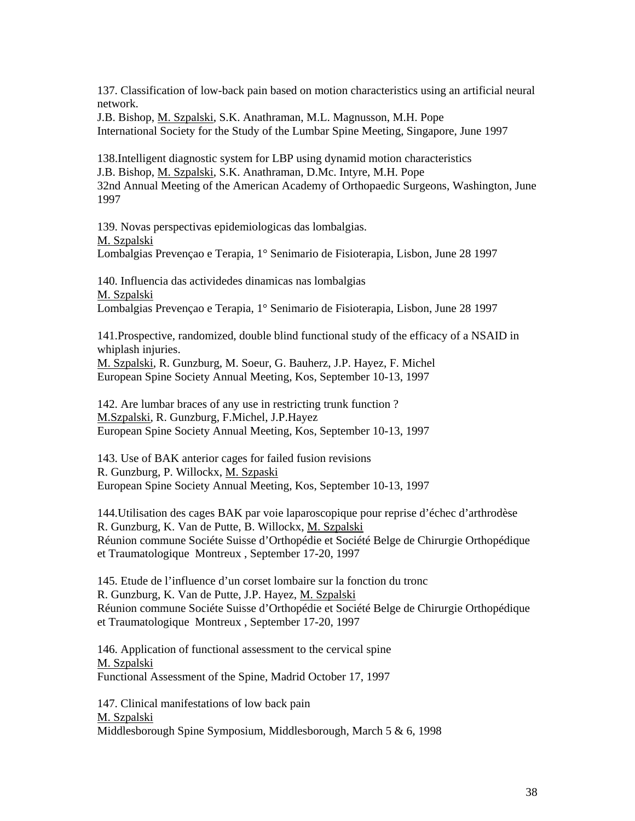137. Classification of low-back pain based on motion characteristics using an artificial neural network.

J.B. Bishop, M. Szpalski, S.K. Anathraman, M.L. Magnusson, M.H. Pope International Society for the Study of the Lumbar Spine Meeting, Singapore, June 1997

138.Intelligent diagnostic system for LBP using dynamid motion characteristics J.B. Bishop, M. Szpalski, S.K. Anathraman, D.Mc. Intyre, M.H. Pope 32nd Annual Meeting of the American Academy of Orthopaedic Surgeons, Washington, June 1997

139. Novas perspectivas epidemiologicas das lombalgias. M. Szpalski Lombalgias Prevençao e Terapia, 1° Senimario de Fisioterapia, Lisbon, June 28 1997

140. Influencia das actividedes dinamicas nas lombalgias M. Szpalski Lombalgias Prevençao e Terapia, 1° Senimario de Fisioterapia, Lisbon, June 28 1997

141.Prospective, randomized, double blind functional study of the efficacy of a NSAID in whiplash injuries.

M. Szpalski, R. Gunzburg, M. Soeur, G. Bauherz, J.P. Hayez, F. Michel European Spine Society Annual Meeting, Kos, September 10-13, 1997

142. Are lumbar braces of any use in restricting trunk function ? M.Szpalski, R. Gunzburg, F.Michel, J.P.Hayez European Spine Society Annual Meeting, Kos, September 10-13, 1997

143. Use of BAK anterior cages for failed fusion revisions R. Gunzburg, P. Willockx, M. Szpaski European Spine Society Annual Meeting, Kos, September 10-13, 1997

144.Utilisation des cages BAK par voie laparoscopique pour reprise d'échec d'arthrodèse R. Gunzburg, K. Van de Putte, B. Willockx, M. Szpalski Réunion commune Sociéte Suisse d'Orthopédie et Société Belge de Chirurgie Orthopédique et Traumatologique Montreux , September 17-20, 1997

145. Etude de l'influence d'un corset lombaire sur la fonction du tronc R. Gunzburg, K. Van de Putte, J.P. Hayez, M. Szpalski Réunion commune Sociéte Suisse d'Orthopédie et Société Belge de Chirurgie Orthopédique et Traumatologique Montreux , September 17-20, 1997

146. Application of functional assessment to the cervical spine M. Szpalski Functional Assessment of the Spine, Madrid October 17, 1997

147. Clinical manifestations of low back pain M. Szpalski Middlesborough Spine Symposium, Middlesborough, March 5 & 6, 1998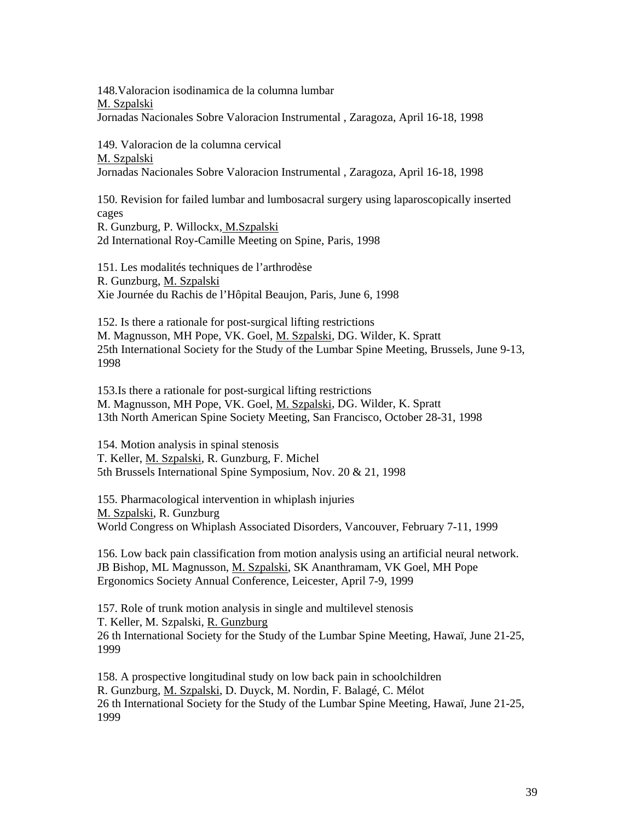148.Valoracion isodinamica de la columna lumbar M. Szpalski Jornadas Nacionales Sobre Valoracion Instrumental , Zaragoza, April 16-18, 1998

149. Valoracion de la columna cervical M. Szpalski Jornadas Nacionales Sobre Valoracion Instrumental , Zaragoza, April 16-18, 1998

150. Revision for failed lumbar and lumbosacral surgery using laparoscopically inserted cages R. Gunzburg, P. Willockx, M.Szpalski

2d International Roy-Camille Meeting on Spine, Paris, 1998

151. Les modalités techniques de l'arthrodèse R. Gunzburg, M. Szpalski Xie Journée du Rachis de l'Hôpital Beaujon, Paris, June 6, 1998

152. Is there a rationale for post-surgical lifting restrictions M. Magnusson, MH Pope, VK. Goel, M. Szpalski, DG. Wilder, K. Spratt 25th International Society for the Study of the Lumbar Spine Meeting, Brussels, June 9-13, 1998

153.Is there a rationale for post-surgical lifting restrictions M. Magnusson, MH Pope, VK. Goel, M. Szpalski, DG. Wilder, K. Spratt 13th North American Spine Society Meeting, San Francisco, October 28-31, 1998

154. Motion analysis in spinal stenosis T. Keller, M. Szpalski, R. Gunzburg, F. Michel 5th Brussels International Spine Symposium, Nov. 20 & 21, 1998

155. Pharmacological intervention in whiplash injuries M. Szpalski, R. Gunzburg World Congress on Whiplash Associated Disorders, Vancouver, February 7-11, 1999

156. Low back pain classification from motion analysis using an artificial neural network. JB Bishop, ML Magnusson, M. Szpalski, SK Ananthramam, VK Goel, MH Pope Ergonomics Society Annual Conference, Leicester, April 7-9, 1999

157. Role of trunk motion analysis in single and multilevel stenosis T. Keller, M. Szpalski, R. Gunzburg 26 th International Society for the Study of the Lumbar Spine Meeting, Hawaï, June 21-25, 1999

158. A prospective longitudinal study on low back pain in schoolchildren R. Gunzburg, M. Szpalski, D. Duyck, M. Nordin, F. Balagé, C. Mélot 26 th International Society for the Study of the Lumbar Spine Meeting, Hawaï, June 21-25, 1999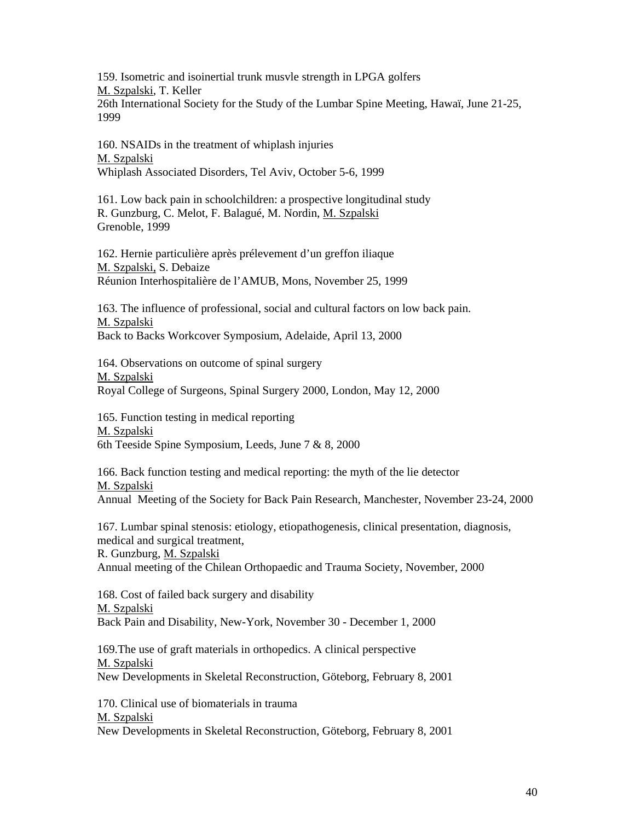159. Isometric and isoinertial trunk musvle strength in LPGA golfers M. Szpalski, T. Keller 26th International Society for the Study of the Lumbar Spine Meeting, Hawaï, June 21-25, 1999

160. NSAIDs in the treatment of whiplash injuries M. Szpalski Whiplash Associated Disorders, Tel Aviv, October 5-6, 1999

161. Low back pain in schoolchildren: a prospective longitudinal study R. Gunzburg, C. Melot, F. Balagué, M. Nordin, M. Szpalski Grenoble, 1999

162. Hernie particulière après prélevement d'un greffon iliaque M. Szpalski, S. Debaize Réunion Interhospitalière de l'AMUB, Mons, November 25, 1999

163. The influence of professional, social and cultural factors on low back pain. M. Szpalski Back to Backs Workcover Symposium, Adelaide, April 13, 2000

164. Observations on outcome of spinal surgery M. Szpalski Royal College of Surgeons, Spinal Surgery 2000, London, May 12, 2000

165. Function testing in medical reporting M. Szpalski 6th Teeside Spine Symposium, Leeds, June 7 & 8, 2000

166. Back function testing and medical reporting: the myth of the lie detector M. Szpalski Annual Meeting of the Society for Back Pain Research, Manchester, November 23-24, 2000

167. Lumbar spinal stenosis: etiology, etiopathogenesis, clinical presentation, diagnosis, medical and surgical treatment, R. Gunzburg, M. Szpalski

Annual meeting of the Chilean Orthopaedic and Trauma Society, November, 2000

168. Cost of failed back surgery and disability M. Szpalski Back Pain and Disability, New-York, November 30 - December 1, 2000

169.The use of graft materials in orthopedics. A clinical perspective M. Szpalski New Developments in Skeletal Reconstruction, Göteborg, February 8, 2001

170. Clinical use of biomaterials in trauma M. Szpalski New Developments in Skeletal Reconstruction, Göteborg, February 8, 2001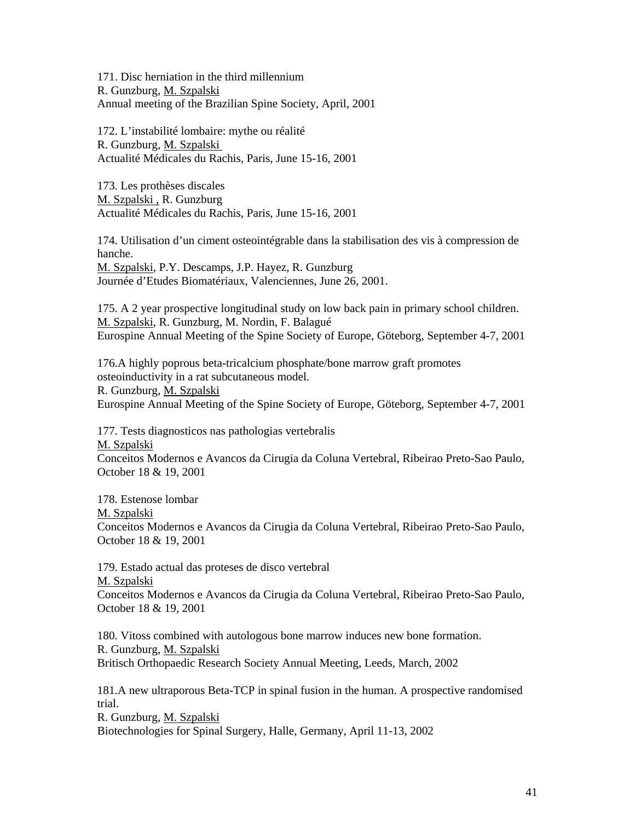171. Disc herniation in the third millennium R. Gunzburg, M. Szpalski Annual meeting of the Brazilian Spine Society, April, 2001

172. L'instabilité lombaire: mythe ou réalité R. Gunzburg, M. Szpalski Actualité Médicales du Rachis, Paris, June 15-16, 2001

173. Les prothèses discales M. Szpalski , R. Gunzburg Actualité Médicales du Rachis, Paris, June 15-16, 2001

174. Utilisation d'un ciment osteointégrable dans la stabilisation des vis à compression de hanche. M. Szpalski, P.Y. Descamps, J.P. Hayez, R. Gunzburg

Journée d'Etudes Biomatériaux, Valenciennes, June 26, 2001.

175. A 2 year prospective longitudinal study on low back pain in primary school children. M. Szpalski, R. Gunzburg, M. Nordin, F. Balagué Eurospine Annual Meeting of the Spine Society of Europe, Göteborg, September 4-7, 2001

176.A highly poprous beta-tricalcium phosphate/bone marrow graft promotes osteoinductivity in a rat subcutaneous model. R. Gunzburg, M. Szpalski Eurospine Annual Meeting of the Spine Society of Europe, Göteborg, September 4-7, 2001

177. Tests diagnosticos nas pathologias vertebralis M. Szpalski Conceitos Modernos e Avancos da Cirugia da Coluna Vertebral, Ribeirao Preto-Sao Paulo, October 18 & 19, 2001

178. Estenose lombar M. Szpalski Conceitos Modernos e Avancos da Cirugia da Coluna Vertebral, Ribeirao Preto-Sao Paulo, October 18 & 19, 2001

179. Estado actual das proteses de disco vertebral M. Szpalski Conceitos Modernos e Avancos da Cirugia da Coluna Vertebral, Ribeirao Preto-Sao Paulo, October 18 & 19, 2001

180. Vitoss combined with autologous bone marrow induces new bone formation. R. Gunzburg, M. Szpalski Britisch Orthopaedic Research Society Annual Meeting, Leeds, March, 2002

181.A new ultraporous Beta-TCP in spinal fusion in the human. A prospective randomised trial.

R. Gunzburg, M. Szpalski Biotechnologies for Spinal Surgery, Halle, Germany, April 11-13, 2002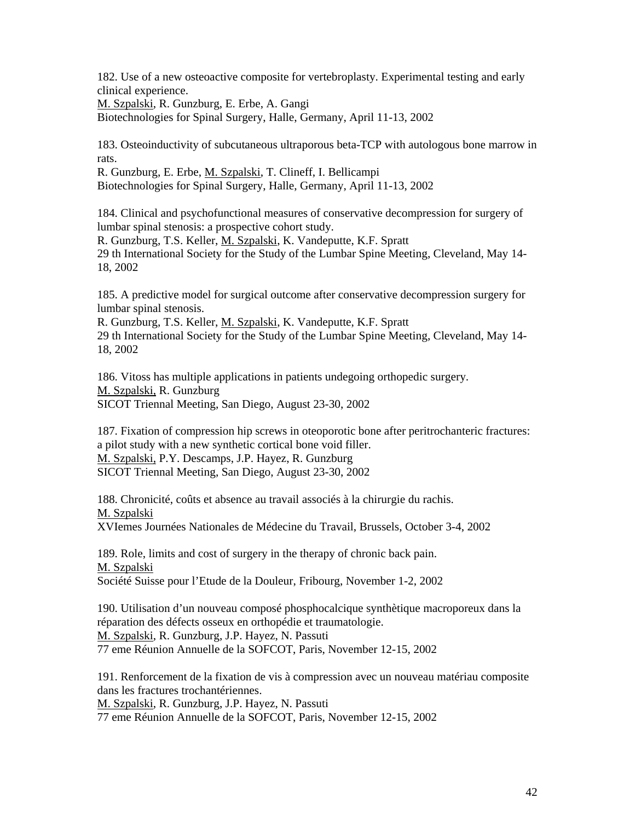182. Use of a new osteoactive composite for vertebroplasty. Experimental testing and early clinical experience.

M. Szpalski, R. Gunzburg, E. Erbe, A. Gangi

Biotechnologies for Spinal Surgery, Halle, Germany, April 11-13, 2002

183. Osteoinductivity of subcutaneous ultraporous beta-TCP with autologous bone marrow in rats.

R. Gunzburg, E. Erbe, M. Szpalski, T. Clineff, I. Bellicampi Biotechnologies for Spinal Surgery, Halle, Germany, April 11-13, 2002

184. Clinical and psychofunctional measures of conservative decompression for surgery of lumbar spinal stenosis: a prospective cohort study.

R. Gunzburg, T.S. Keller, M. Szpalski, K. Vandeputte, K.F. Spratt 29 th International Society for the Study of the Lumbar Spine Meeting, Cleveland, May 14- 18, 2002

185. A predictive model for surgical outcome after conservative decompression surgery for lumbar spinal stenosis.

R. Gunzburg, T.S. Keller, M. Szpalski, K. Vandeputte, K.F. Spratt 29 th International Society for the Study of the Lumbar Spine Meeting, Cleveland, May 14- 18, 2002

186. Vitoss has multiple applications in patients undegoing orthopedic surgery. M. Szpalski, R. Gunzburg SICOT Triennal Meeting, San Diego, August 23-30, 2002

187. Fixation of compression hip screws in oteoporotic bone after peritrochanteric fractures: a pilot study with a new synthetic cortical bone void filler. M. Szpalski, P.Y. Descamps, J.P. Hayez, R. Gunzburg SICOT Triennal Meeting, San Diego, August 23-30, 2002

188. Chronicité, coûts et absence au travail associés à la chirurgie du rachis. M. Szpalski XVIemes Journées Nationales de Médecine du Travail, Brussels, October 3-4, 2002

189. Role, limits and cost of surgery in the therapy of chronic back pain. M. Szpalski Société Suisse pour l'Etude de la Douleur, Fribourg, November 1-2, 2002

190. Utilisation d'un nouveau composé phosphocalcique synthètique macroporeux dans la réparation des défects osseux en orthopédie et traumatologie. M. Szpalski, R. Gunzburg, J.P. Hayez, N. Passuti 77 eme Réunion Annuelle de la SOFCOT, Paris, November 12-15, 2002

191. Renforcement de la fixation de vis à compression avec un nouveau matériau composite dans les fractures trochantériennes.

M. Szpalski, R. Gunzburg, J.P. Hayez, N. Passuti

77 eme Réunion Annuelle de la SOFCOT, Paris, November 12-15, 2002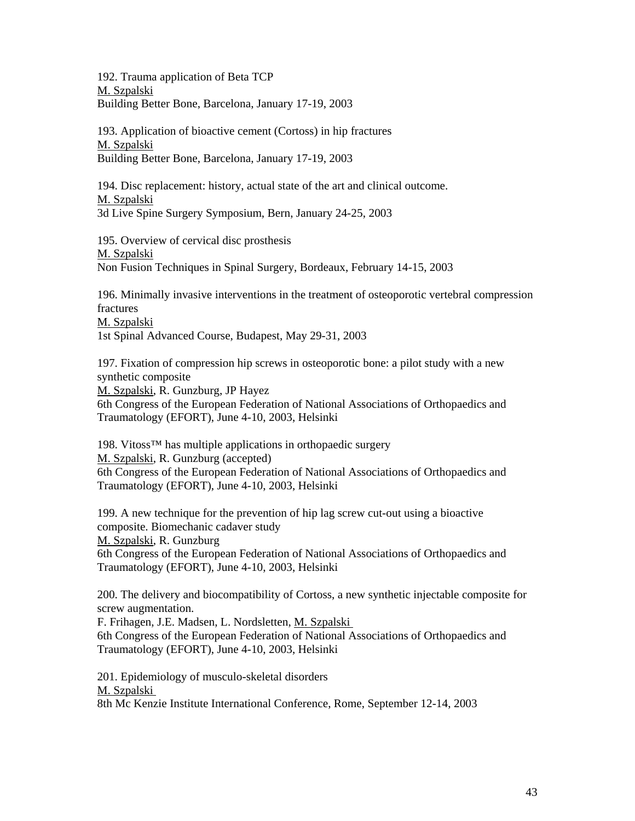192. Trauma application of Beta TCP M. Szpalski Building Better Bone, Barcelona, January 17-19, 2003

193. Application of bioactive cement (Cortoss) in hip fractures M. Szpalski Building Better Bone, Barcelona, January 17-19, 2003

194. Disc replacement: history, actual state of the art and clinical outcome. M. Szpalski 3d Live Spine Surgery Symposium, Bern, January 24-25, 2003

195. Overview of cervical disc prosthesis M. Szpalski Non Fusion Techniques in Spinal Surgery, Bordeaux, February 14-15, 2003

196. Minimally invasive interventions in the treatment of osteoporotic vertebral compression fractures M. Szpalski

1st Spinal Advanced Course*,* Budapest, May 29-31, 2003

197. Fixation of compression hip screws in osteoporotic bone: a pilot study with a new synthetic composite

M. Szpalski, R. Gunzburg, JP Hayez

6th Congress of the European Federation of National Associations of Orthopaedics and Traumatology (EFORT), June 4-10, 2003, Helsinki

198. Vitoss™ has multiple applications in orthopaedic surgery M. Szpalski, R. Gunzburg (accepted) 6th Congress of the European Federation of National Associations of Orthopaedics and Traumatology (EFORT), June 4-10, 2003, Helsinki

199. A new technique for the prevention of hip lag screw cut-out using a bioactive composite. Biomechanic cadaver study M. Szpalski, R. Gunzburg 6th Congress of the European Federation of National Associations of Orthopaedics and Traumatology (EFORT), June 4-10, 2003, Helsinki

200. The delivery and biocompatibility of Cortoss, a new synthetic injectable composite for screw augmentation.

F. Frihagen, J.E. Madsen, L. Nordsletten, M. Szpalski 6th Congress of the European Federation of National Associations of Orthopaedics and Traumatology (EFORT), June 4-10, 2003, Helsinki

201. Epidemiology of musculo-skeletal disorders M. Szpalski 8th Mc Kenzie Institute International Conference, Rome, September 12-14, 2003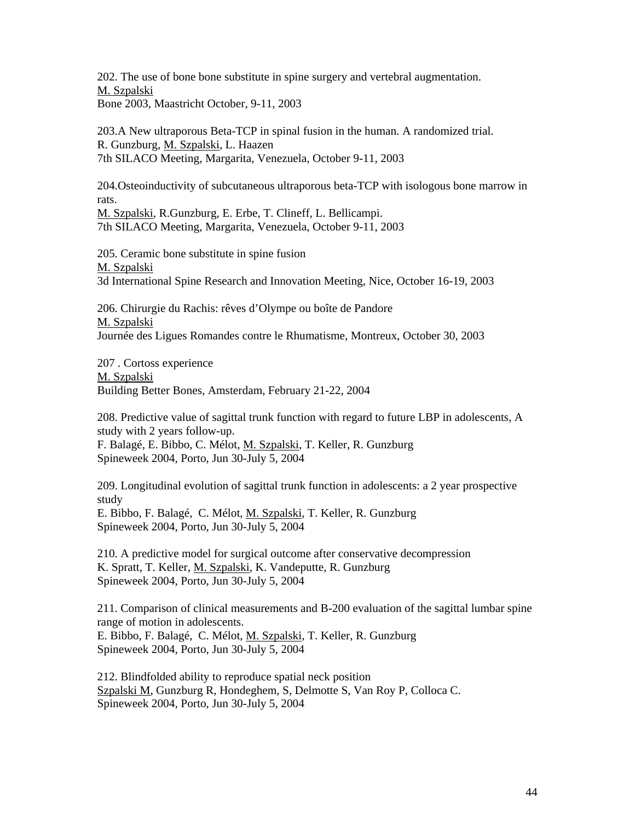202. The use of bone bone substitute in spine surgery and vertebral augmentation. M. Szpalski Bone 2003, Maastricht October, 9-11, 2003

203.A New ultraporous Beta-TCP in spinal fusion in the human. A randomized trial. R. Gunzburg, M. Szpalski, L. Haazen 7th SILACO Meeting, Margarita, Venezuela, October 9-11, 2003

204.Osteoinductivity of subcutaneous ultraporous beta-TCP with isologous bone marrow in rats.

M. Szpalski, R.Gunzburg, E. Erbe, T. Clineff, L. Bellicampi. 7th SILACO Meeting, Margarita, Venezuela, October 9-11, 2003

205. Ceramic bone substitute in spine fusion M. Szpalski 3d International Spine Research and Innovation Meeting, Nice, October 16-19, 2003

206. Chirurgie du Rachis: rêves d'Olympe ou boîte de Pandore M. Szpalski Journée des Ligues Romandes contre le Rhumatisme, Montreux, October 30, 2003

207 . Cortoss experience M. Szpalski Building Better Bones, Amsterdam, February 21-22, 2004

208. Predictive value of sagittal trunk function with regard to future LBP in adolescents, A study with 2 years follow-up. F. Balagé, E. Bibbo, C. Mélot, M. Szpalski, T. Keller, R. Gunzburg Spineweek 2004, Porto, Jun 30-July 5, 2004

209. Longitudinal evolution of sagittal trunk function in adolescents: a 2 year prospective study E. Bibbo, F. Balagé, C. Mélot, M. Szpalski, T. Keller, R. Gunzburg Spineweek 2004, Porto, Jun 30-July 5, 2004

210. A predictive model for surgical outcome after conservative decompression K. Spratt, T. Keller, M. Szpalski, K. Vandeputte, R. Gunzburg Spineweek 2004, Porto, Jun 30-July 5, 2004

211. Comparison of clinical measurements and B-200 evaluation of the sagittal lumbar spine range of motion in adolescents.

E. Bibbo, F. Balagé, C. Mélot, M. Szpalski, T. Keller, R. Gunzburg Spineweek 2004, Porto, Jun 30-July 5, 2004

212. Blindfolded ability to reproduce spatial neck position Szpalski M, Gunzburg R, Hondeghem, S, Delmotte S, Van Roy P, Colloca C. Spineweek 2004, Porto, Jun 30-July 5, 2004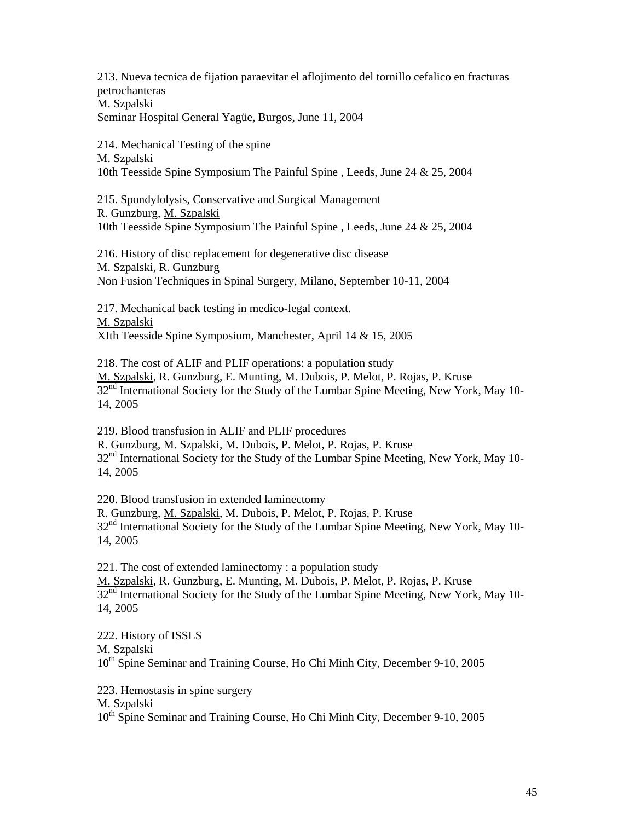213. Nueva tecnica de fijation paraevitar el aflojimento del tornillo cefalico en fracturas petrochanteras M. Szpalski Seminar Hospital General Yagüe, Burgos, June 11, 2004

214. Mechanical Testing of the spine M. Szpalski 10th Teesside Spine Symposium The Painful Spine , Leeds, June 24 & 25, 2004

215. Spondylolysis, Conservative and Surgical Management R. Gunzburg, M. Szpalski 10th Teesside Spine Symposium The Painful Spine , Leeds, June 24 & 25, 2004

216. History of disc replacement for degenerative disc disease M. Szpalski, R. Gunzburg Non Fusion Techniques in Spinal Surgery, Milano, September 10-11, 2004

217. Mechanical back testing in medico-legal context. M. Szpalski XIth Teesside Spine Symposium, Manchester, April 14 & 15, 2005

218. The cost of ALIF and PLIF operations: a population study M. Szpalski, R. Gunzburg, E. Munting, M. Dubois, P. Melot, P. Rojas, P. Kruse 32<sup>nd</sup> International Society for the Study of the Lumbar Spine Meeting, New York, May 10-14, 2005

219. Blood transfusion in ALIF and PLIF procedures R. Gunzburg, M. Szpalski, M. Dubois, P. Melot, P. Rojas, P. Kruse 32<sup>nd</sup> International Society for the Study of the Lumbar Spine Meeting, New York, May 10-14, 2005

220. Blood transfusion in extended laminectomy R. Gunzburg, M. Szpalski, M. Dubois, P. Melot, P. Rojas, P. Kruse 32<sup>nd</sup> International Society for the Study of the Lumbar Spine Meeting, New York, May 10-14, 2005

221. The cost of extended laminectomy : a population study M. Szpalski, R. Gunzburg, E. Munting, M. Dubois, P. Melot, P. Rojas, P. Kruse 32<sup>nd</sup> International Society for the Study of the Lumbar Spine Meeting, New York, May 10-14, 2005

222. History of ISSLS M. Szpalski 10<sup>th</sup> Spine Seminar and Training Course, Ho Chi Minh City, December 9-10, 2005

223. Hemostasis in spine surgery

M. Szpalski

10<sup>th</sup> Spine Seminar and Training Course, Ho Chi Minh City, December 9-10, 2005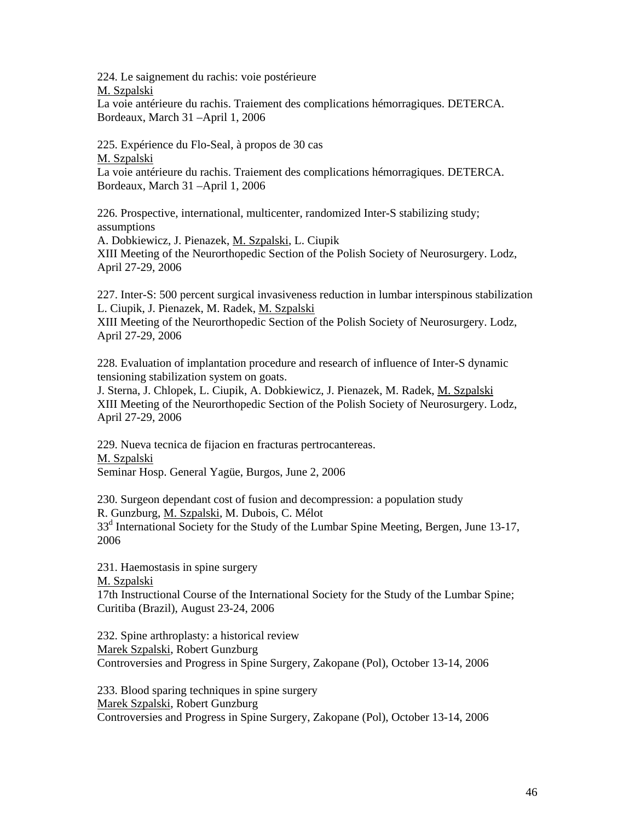224. Le saignement du rachis: voie postérieure M. Szpalski

La voie antérieure du rachis. Traiement des complications hémorragiques. DETERCA. Bordeaux, March 31 –April 1, 2006

225. Expérience du Flo-Seal, à propos de 30 cas M. Szpalski La voie antérieure du rachis. Traiement des complications hémorragiques. DETERCA. Bordeaux, March 31 –April 1, 2006

226. Prospective, international, multicenter, randomized Inter-S stabilizing study; assumptions

A. Dobkiewicz, J. Pienazek, M. Szpalski, L. Ciupik XIII Meeting of the Neurorthopedic Section of the Polish Society of Neurosurgery. Lodz, April 27-29, 2006

227. Inter-S: 500 percent surgical invasiveness reduction in lumbar interspinous stabilization L. Ciupik, J. Pienazek, M. Radek, M. Szpalski

XIII Meeting of the Neurorthopedic Section of the Polish Society of Neurosurgery. Lodz, April 27-29, 2006

228. Evaluation of implantation procedure and research of influence of Inter-S dynamic tensioning stabilization system on goats.

J. Sterna, J. Chlopek, L. Ciupik, A. Dobkiewicz, J. Pienazek, M. Radek, M. Szpalski XIII Meeting of the Neurorthopedic Section of the Polish Society of Neurosurgery. Lodz, April 27-29, 2006

229. Nueva tecnica de fijacion en fracturas pertrocantereas. M. Szpalski Seminar Hosp. General Yagüe, Burgos, June 2, 2006

230. Surgeon dependant cost of fusion and decompression: a population study R. Gunzburg, M. Szpalski, M. Dubois, C. Mélot 33<sup>d</sup> International Society for the Study of the Lumbar Spine Meeting, Bergen, June 13-17, 2006

231. Haemostasis in spine surgery M. Szpalski 17th Instructional Course of the International Society for the Study of the Lumbar Spine; Curitiba (Brazil), August 23-24, 2006

232. Spine arthroplasty: a historical review Marek Szpalski, Robert Gunzburg Controversies and Progress in Spine Surgery, Zakopane (Pol), October 13-14, 2006

233. Blood sparing techniques in spine surgery Marek Szpalski, Robert Gunzburg Controversies and Progress in Spine Surgery, Zakopane (Pol), October 13-14, 2006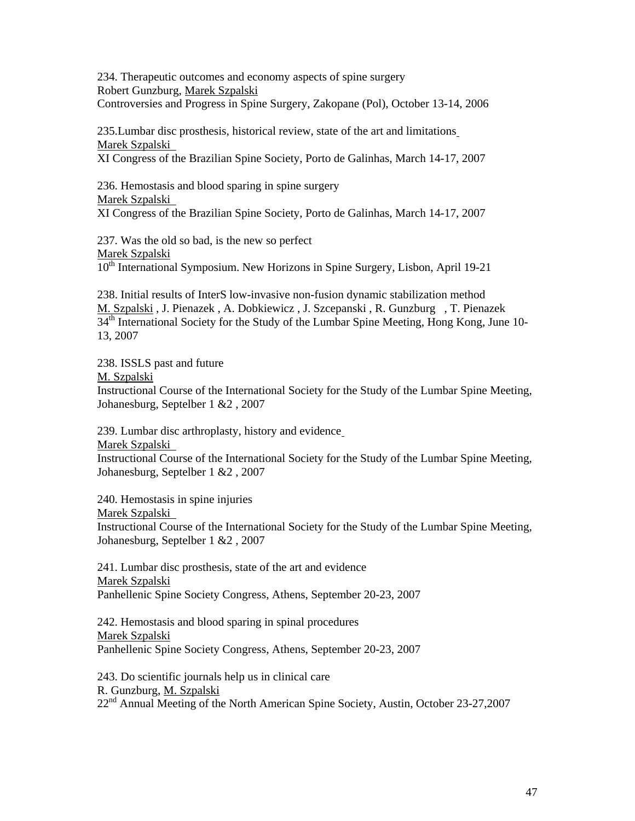234. Therapeutic outcomes and economy aspects of spine surgery Robert Gunzburg, Marek Szpalski

Controversies and Progress in Spine Surgery, Zakopane (Pol), October 13-14, 2006

235.Lumbar disc prosthesis, historical review, state of the art and limitations Marek Szpalski

XI Congress of the Brazilian Spine Society, Porto de Galinhas, March 14-17, 2007

236. Hemostasis and blood sparing in spine surgery Marek Szpalski XI Congress of the Brazilian Spine Society, Porto de Galinhas, March 14-17, 2007

237. Was the old so bad, is the new so perfect Marek Szpalski 10<sup>th</sup> International Symposium. New Horizons in Spine Surgery, Lisbon, April 19-21

238. Initial results of InterS low-invasive non-fusion dynamic stabilization method M. Szpalski , J. Pienazek , A. Dobkiewicz , J. Szcepanski , R. Gunzburg , T. Pienazek  $34<sup>th</sup>$  International Society for the Study of the Lumbar Spine Meeting, Hong Kong, June 10-13, 2007

238. ISSLS past and future

M. Szpalski

Instructional Course of the International Society for the Study of the Lumbar Spine Meeting, Johanesburg, Septelber 1 &2 , 2007

239. Lumbar disc arthroplasty, history and evidence

Marek Szpalski

Instructional Course of the International Society for the Study of the Lumbar Spine Meeting, Johanesburg, Septelber 1 &2 , 2007

240. Hemostasis in spine injuries

Marek Szpalski

Instructional Course of the International Society for the Study of the Lumbar Spine Meeting, Johanesburg, Septelber 1 &2 , 2007

241. Lumbar disc prosthesis, state of the art and evidence Marek Szpalski Panhellenic Spine Society Congress, Athens, September 20-23, 2007

242. Hemostasis and blood sparing in spinal procedures Marek Szpalski Panhellenic Spine Society Congress, Athens, September 20-23, 2007

243. Do scientific journals help us in clinical care R. Gunzburg, M. Szpalski 22nd Annual Meeting of the North American Spine Society, Austin, October 23-27,2007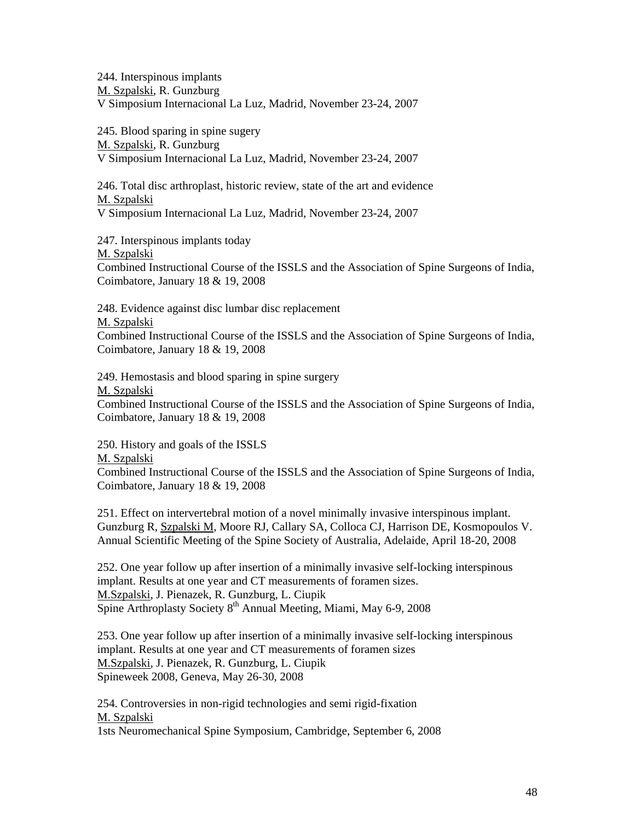244. Interspinous implants M. Szpalski, R. Gunzburg V Simposium Internacional La Luz, Madrid, November 23-24, 2007

245. Blood sparing in spine sugery M. Szpalski, R. Gunzburg V Simposium Internacional La Luz, Madrid, November 23-24, 2007

246. Total disc arthroplast, historic review, state of the art and evidence M. Szpalski V Simposium Internacional La Luz, Madrid, November 23-24, 2007

247. Interspinous implants today M. Szpalski Combined Instructional Course of the ISSLS and the Association of Spine Surgeons of India, Coimbatore, January 18 & 19, 2008

248. Evidence against disc lumbar disc replacement M. Szpalski Combined Instructional Course of the ISSLS and the Association of Spine Surgeons of India, Coimbatore, January 18 & 19, 2008

249. Hemostasis and blood sparing in spine surgery M. Szpalski Combined Instructional Course of the ISSLS and the Association of Spine Surgeons of India, Coimbatore, January 18 & 19, 2008

250. History and goals of the ISSLS

M. Szpalski

Combined Instructional Course of the ISSLS and the Association of Spine Surgeons of India, Coimbatore, January 18 & 19, 2008

251. Effect on intervertebral motion of a novel minimally invasive interspinous implant. Gunzburg R, Szpalski M, Moore RJ, Callary SA, Colloca CJ, Harrison DE, Kosmopoulos V. Annual Scientific Meeting of the Spine Society of Australia, Adelaide, April 18-20, 2008

252. One year follow up after insertion of a minimally invasive self-locking interspinous implant. Results at one year and CT measurements of foramen sizes. M.Szpalski, J. Pienazek, R. Gunzburg, L. Ciupik Spine Arthroplasty Society  $8<sup>th</sup>$  Annual Meeting, Miami, May 6-9, 2008

253. One year follow up after insertion of a minimally invasive self-locking interspinous implant. Results at one year and CT measurements of foramen sizes M.Szpalski, J. Pienazek, R. Gunzburg, L. Ciupik Spineweek 2008, Geneva, May 26-30, 2008

254. Controversies in non-rigid technologies and semi rigid-fixation M. Szpalski 1sts Neuromechanical Spine Symposium, Cambridge, September 6, 2008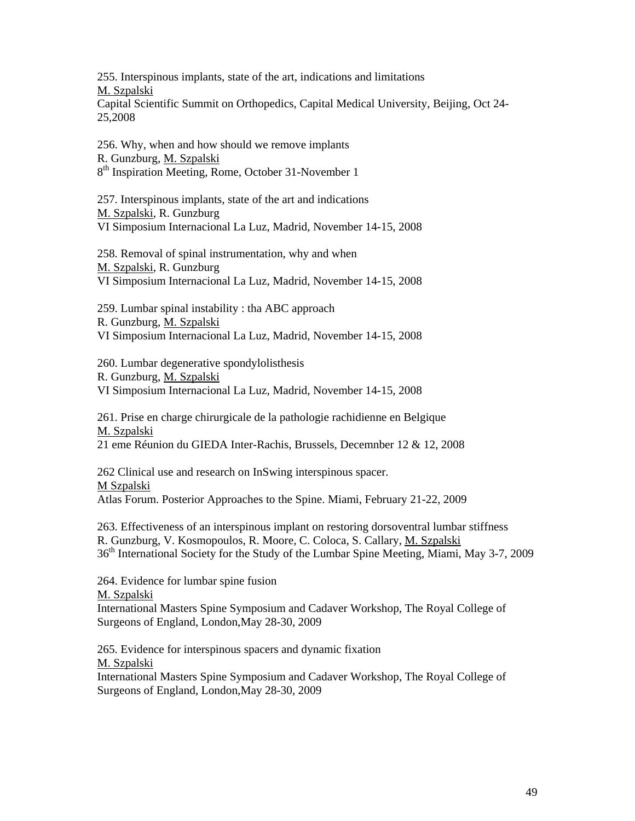255. Interspinous implants, state of the art, indications and limitations M. Szpalski

Capital Scientific Summit on Orthopedics, Capital Medical University, Beijing, Oct 24- 25,2008

256. Why, when and how should we remove implants R. Gunzburg, M. Szpalski 8<sup>th</sup> Inspiration Meeting, Rome, October 31-November 1

257. Interspinous implants, state of the art and indications M. Szpalski, R. Gunzburg VI Simposium Internacional La Luz, Madrid, November 14-15, 2008

258. Removal of spinal instrumentation, why and when M. Szpalski, R. Gunzburg VI Simposium Internacional La Luz, Madrid, November 14-15, 2008

259. Lumbar spinal instability : tha ABC approach R. Gunzburg, M. Szpalski VI Simposium Internacional La Luz, Madrid, November 14-15, 2008

260. Lumbar degenerative spondylolisthesis R. Gunzburg, M. Szpalski VI Simposium Internacional La Luz, Madrid, November 14-15, 2008

261. Prise en charge chirurgicale de la pathologie rachidienne en Belgique M. Szpalski 21 eme Réunion du GIEDA Inter-Rachis, Brussels, Decemnber 12 & 12, 2008

262 Clinical use and research on InSwing interspinous spacer. M Szpalski Atlas Forum. Posterior Approaches to the Spine. Miami, February 21-22, 2009

263. Effectiveness of an interspinous implant on restoring dorsoventral lumbar stiffness R. Gunzburg, V. Kosmopoulos, R. Moore, C. Coloca, S. Callary, M. Szpalski 36<sup>th</sup> International Society for the Study of the Lumbar Spine Meeting, Miami, May 3-7, 2009

264. Evidence for lumbar spine fusion M. Szpalski International Masters Spine Symposium and Cadaver Workshop, The Royal College of Surgeons of England, London,May 28-30, 2009

265. Evidence for interspinous spacers and dynamic fixation M. Szpalski International Masters Spine Symposium and Cadaver Workshop, The Royal College of Surgeons of England, London,May 28-30, 2009